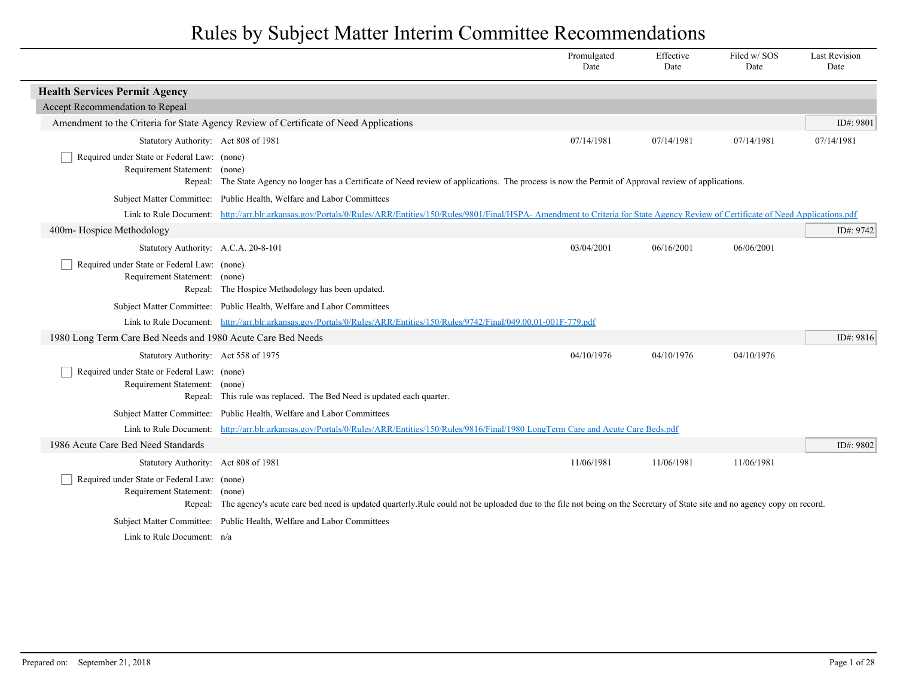|                                                                              |                                                                                                                                                                                                  | Promulgated<br>Date | Effective<br>Date | Filed w/SOS<br>Date | <b>Last Revision</b><br>Date |
|------------------------------------------------------------------------------|--------------------------------------------------------------------------------------------------------------------------------------------------------------------------------------------------|---------------------|-------------------|---------------------|------------------------------|
| <b>Health Services Permit Agency</b>                                         |                                                                                                                                                                                                  |                     |                   |                     |                              |
| Accept Recommendation to Repeal                                              |                                                                                                                                                                                                  |                     |                   |                     |                              |
|                                                                              | Amendment to the Criteria for State Agency Review of Certificate of Need Applications                                                                                                            |                     |                   |                     | ID#: 9801                    |
| Statutory Authority: Act 808 of 1981                                         |                                                                                                                                                                                                  | 07/14/1981          | 07/14/1981        | 07/14/1981          | 07/14/1981                   |
| Required under State or Federal Law: (none)                                  |                                                                                                                                                                                                  |                     |                   |                     |                              |
| Requirement Statement: (none)                                                |                                                                                                                                                                                                  |                     |                   |                     |                              |
|                                                                              | Repeal: The State Agency no longer has a Certificate of Need review of applications. The process is now the Permit of Approval review of applications.                                           |                     |                   |                     |                              |
|                                                                              | Subject Matter Committee: Public Health, Welfare and Labor Committees                                                                                                                            |                     |                   |                     |                              |
|                                                                              | Link to Rule Document: http://arr.blr.arkansas.gov/Portals/0/Rules/ARR/Entities/150/Rules/9801/Final/HSPA- Amendment to Criteria for State Agency Review of Certificate of Need Applications.pdf |                     |                   |                     |                              |
| 400m- Hospice Methodology                                                    |                                                                                                                                                                                                  |                     |                   |                     | ID#: 9742                    |
| Statutory Authority: A.C.A. 20-8-101                                         |                                                                                                                                                                                                  | 03/04/2001          | 06/16/2001        | 06/06/2001          |                              |
| Required under State or Federal Law: (none)<br>Requirement Statement: (none) |                                                                                                                                                                                                  |                     |                   |                     |                              |
|                                                                              | Repeal: The Hospice Methodology has been updated.                                                                                                                                                |                     |                   |                     |                              |
|                                                                              | Subject Matter Committee: Public Health, Welfare and Labor Committees                                                                                                                            |                     |                   |                     |                              |
|                                                                              | Link to Rule Document: http://arr.blr.arkansas.gov/Portals/0/Rules/ARR/Entities/150/Rules/9742/Final/049.00.01-001F-779.pdf                                                                      |                     |                   |                     |                              |
| 1980 Long Term Care Bed Needs and 1980 Acute Care Bed Needs                  |                                                                                                                                                                                                  |                     |                   |                     | ID#: 9816                    |
| Statutory Authority: Act 558 of 1975                                         |                                                                                                                                                                                                  | 04/10/1976          | 04/10/1976        | 04/10/1976          |                              |
| Required under State or Federal Law: (none)                                  |                                                                                                                                                                                                  |                     |                   |                     |                              |
| Requirement Statement: (none)                                                |                                                                                                                                                                                                  |                     |                   |                     |                              |
|                                                                              | Repeal: This rule was replaced. The Bed Need is updated each quarter.                                                                                                                            |                     |                   |                     |                              |
|                                                                              | Subject Matter Committee: Public Health, Welfare and Labor Committees                                                                                                                            |                     |                   |                     |                              |
| Link to Rule Document:                                                       | http://arr.blr.arkansas.gov/Portals/0/Rules/ARR/Entities/150/Rules/9816/Final/1980 LongTerm Care and Acute Care Beds.pdf                                                                         |                     |                   |                     |                              |
| 1986 Acute Care Bed Need Standards                                           |                                                                                                                                                                                                  |                     |                   |                     | ID#: 9802                    |
| Statutory Authority: Act 808 of 1981                                         |                                                                                                                                                                                                  | 11/06/1981          | 11/06/1981        | 11/06/1981          |                              |
| Required under State or Federal Law: (none)                                  |                                                                                                                                                                                                  |                     |                   |                     |                              |
| Requirement Statement:                                                       | (none)<br>Repeal: The agency's acute care bed need is updated quarterly.Rule could not be uploaded due to the file not being on the Secretary of State site and no agency copy on record.        |                     |                   |                     |                              |
|                                                                              | Subject Matter Committee: Public Health, Welfare and Labor Committees                                                                                                                            |                     |                   |                     |                              |
| Link to Rule Document: n/a                                                   |                                                                                                                                                                                                  |                     |                   |                     |                              |
|                                                                              |                                                                                                                                                                                                  |                     |                   |                     |                              |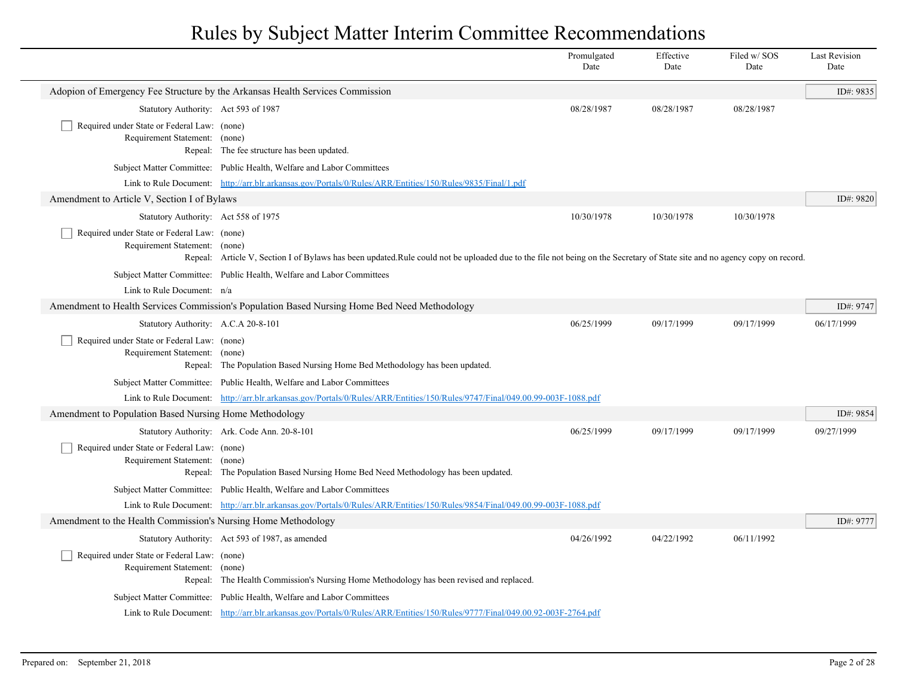|                                                                              |                                                                                                                                                                           | Promulgated<br>Date | Effective<br>Date | Filed w/SOS<br>Date | <b>Last Revision</b><br>Date |
|------------------------------------------------------------------------------|---------------------------------------------------------------------------------------------------------------------------------------------------------------------------|---------------------|-------------------|---------------------|------------------------------|
|                                                                              | Adopion of Emergency Fee Structure by the Arkansas Health Services Commission                                                                                             |                     |                   |                     | ID#: 9835                    |
| Statutory Authority: Act 593 of 1987                                         |                                                                                                                                                                           | 08/28/1987          | 08/28/1987        | 08/28/1987          |                              |
| Required under State or Federal Law: (none)<br>Requirement Statement: (none) | Repeal: The fee structure has been updated.                                                                                                                               |                     |                   |                     |                              |
|                                                                              | Subject Matter Committee: Public Health, Welfare and Labor Committees                                                                                                     |                     |                   |                     |                              |
|                                                                              | Link to Rule Document: http://arr.blr.arkansas.gov/Portals/0/Rules/ARR/Entities/150/Rules/9835/Final/1.pdf                                                                |                     |                   |                     |                              |
| Amendment to Article V, Section I of Bylaws                                  |                                                                                                                                                                           |                     |                   |                     | ID#: 9820                    |
| Statutory Authority: Act 558 of 1975                                         |                                                                                                                                                                           | 10/30/1978          | 10/30/1978        | 10/30/1978          |                              |
| Required under State or Federal Law: (none)<br>Requirement Statement: (none) | Repeal: Article V, Section I of Bylaws has been updated.Rule could not be uploaded due to the file not being on the Secretary of State site and no agency copy on record. |                     |                   |                     |                              |
|                                                                              | Subject Matter Committee: Public Health, Welfare and Labor Committees                                                                                                     |                     |                   |                     |                              |
| Link to Rule Document: n/a                                                   |                                                                                                                                                                           |                     |                   |                     |                              |
|                                                                              | Amendment to Health Services Commission's Population Based Nursing Home Bed Need Methodology                                                                              |                     |                   |                     | ID#: 9747                    |
| Statutory Authority: A.C.A 20-8-101                                          |                                                                                                                                                                           | 06/25/1999          | 09/17/1999        | 09/17/1999          | 06/17/1999                   |
| Required under State or Federal Law: (none)<br>Requirement Statement: (none) | Repeal: The Population Based Nursing Home Bed Methodology has been updated.                                                                                               |                     |                   |                     |                              |
|                                                                              | Subject Matter Committee: Public Health, Welfare and Labor Committees                                                                                                     |                     |                   |                     |                              |
|                                                                              | Link to Rule Document: http://arr.blr.arkansas.gov/Portals/0/Rules/ARR/Entities/150/Rules/9747/Final/049.00.99-003F-1088.pdf                                              |                     |                   |                     |                              |
| Amendment to Population Based Nursing Home Methodology                       |                                                                                                                                                                           |                     |                   |                     | ID#: 9854                    |
|                                                                              | Statutory Authority: Ark. Code Ann. 20-8-101                                                                                                                              | 06/25/1999          | 09/17/1999        | 09/17/1999          | 09/27/1999                   |
| Required under State or Federal Law: (none)<br>Requirement Statement: (none) | Repeal: The Population Based Nursing Home Bed Need Methodology has been updated.                                                                                          |                     |                   |                     |                              |
|                                                                              | Subject Matter Committee: Public Health, Welfare and Labor Committees                                                                                                     |                     |                   |                     |                              |
|                                                                              | Link to Rule Document: http://arr.blr.arkansas.gov/Portals/0/Rules/ARR/Entities/150/Rules/9854/Final/049.00.99-003F-1088.pdf                                              |                     |                   |                     |                              |
| Amendment to the Health Commission's Nursing Home Methodology                |                                                                                                                                                                           |                     |                   |                     | ID#: 9777                    |
|                                                                              | Statutory Authority: Act 593 of 1987, as amended                                                                                                                          | 04/26/1992          | 04/22/1992        | 06/11/1992          |                              |
| Required under State or Federal Law: (none)<br>Requirement Statement: (none) | Repeal: The Health Commission's Nursing Home Methodology has been revised and replaced.                                                                                   |                     |                   |                     |                              |
|                                                                              | Subject Matter Committee: Public Health, Welfare and Labor Committees                                                                                                     |                     |                   |                     |                              |
|                                                                              | Link to Rule Document: http://arr.blr.arkansas.gov/Portals/0/Rules/ARR/Entities/150/Rules/9777/Final/049.00.92-003F-2764.pdf                                              |                     |                   |                     |                              |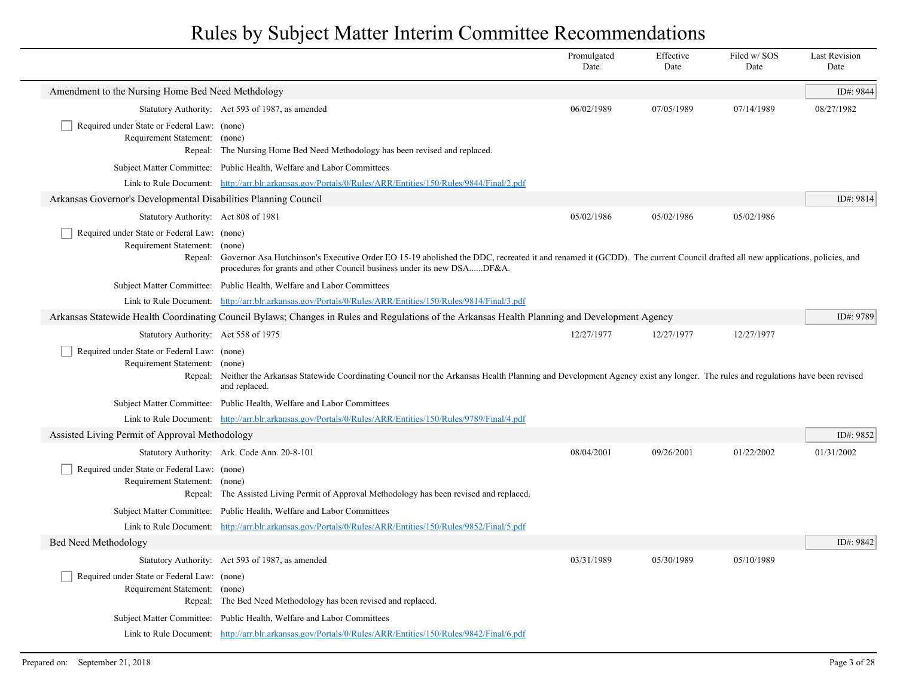|                                                                              |                                                                                                                                                                                                                                                                        | Promulgated<br>Date | Effective<br>Date | Filed w/SOS<br>Date | <b>Last Revision</b><br>Date |
|------------------------------------------------------------------------------|------------------------------------------------------------------------------------------------------------------------------------------------------------------------------------------------------------------------------------------------------------------------|---------------------|-------------------|---------------------|------------------------------|
| Amendment to the Nursing Home Bed Need Methdology                            |                                                                                                                                                                                                                                                                        |                     |                   |                     | ID#: 9844                    |
|                                                                              | Statutory Authority: Act 593 of 1987, as amended                                                                                                                                                                                                                       | 06/02/1989          | 07/05/1989        | 07/14/1989          | 08/27/1982                   |
| Required under State or Federal Law: (none)<br>Requirement Statement: (none) | Repeal: The Nursing Home Bed Need Methodology has been revised and replaced.                                                                                                                                                                                           |                     |                   |                     |                              |
|                                                                              | Subject Matter Committee: Public Health, Welfare and Labor Committees                                                                                                                                                                                                  |                     |                   |                     |                              |
|                                                                              | Link to Rule Document: http://arr.blr.arkansas.gov/Portals/0/Rules/ARR/Entities/150/Rules/9844/Final/2.pdf                                                                                                                                                             |                     |                   |                     |                              |
| Arkansas Governor's Developmental Disabilities Planning Council              |                                                                                                                                                                                                                                                                        |                     |                   |                     | ID#: 9814                    |
| Statutory Authority: Act 808 of 1981                                         |                                                                                                                                                                                                                                                                        | 05/02/1986          | 05/02/1986        | 05/02/1986          |                              |
| Required under State or Federal Law: (none)<br>Requirement Statement:        | (none)<br>Repeal: Governor Asa Hutchinson's Executive Order EO 15-19 abolished the DDC, recreated it and renamed it (GCDD). The current Council drafted all new applications, policies, and<br>procedures for grants and other Council business under its new DSADF&A. |                     |                   |                     |                              |
|                                                                              | Subject Matter Committee: Public Health, Welfare and Labor Committees                                                                                                                                                                                                  |                     |                   |                     |                              |
|                                                                              | Link to Rule Document: http://arr.blr.arkansas.gov/Portals/0/Rules/ARR/Entities/150/Rules/9814/Final/3.pdf                                                                                                                                                             |                     |                   |                     |                              |
|                                                                              | Arkansas Statewide Health Coordinating Council Bylaws; Changes in Rules and Regulations of the Arkansas Health Planning and Development Agency                                                                                                                         |                     |                   |                     | ID#: 9789                    |
| Statutory Authority: Act 558 of 1975                                         |                                                                                                                                                                                                                                                                        | 12/27/1977          | 12/27/1977        | 12/27/1977          |                              |
| Required under State or Federal Law: (none)<br>Requirement Statement: (none) | Repeal: Neither the Arkansas Statewide Coordinating Council nor the Arkansas Health Planning and Development Agency exist any longer. The rules and regulations have been revised<br>and replaced.                                                                     |                     |                   |                     |                              |
|                                                                              | Subject Matter Committee: Public Health, Welfare and Labor Committees                                                                                                                                                                                                  |                     |                   |                     |                              |
|                                                                              | Link to Rule Document: http://arr.blr.arkansas.gov/Portals/0/Rules/ARR/Entities/150/Rules/9789/Final/4.pdf                                                                                                                                                             |                     |                   |                     |                              |
| Assisted Living Permit of Approval Methodology                               |                                                                                                                                                                                                                                                                        |                     |                   |                     | ID#: 9852                    |
|                                                                              | Statutory Authority: Ark. Code Ann. 20-8-101                                                                                                                                                                                                                           | 08/04/2001          | 09/26/2001        | 01/22/2002          | 01/31/2002                   |
| Required under State or Federal Law: (none)<br>Requirement Statement: (none) | Repeal: The Assisted Living Permit of Approval Methodology has been revised and replaced.                                                                                                                                                                              |                     |                   |                     |                              |
|                                                                              | Subject Matter Committee: Public Health, Welfare and Labor Committees                                                                                                                                                                                                  |                     |                   |                     |                              |
|                                                                              | Link to Rule Document: http://arr.blr.arkansas.gov/Portals/0/Rules/ARR/Entities/150/Rules/9852/Final/5.pdf                                                                                                                                                             |                     |                   |                     |                              |
| Bed Need Methodology                                                         |                                                                                                                                                                                                                                                                        |                     |                   |                     | ID#: 9842                    |
|                                                                              | Statutory Authority: Act 593 of 1987, as amended                                                                                                                                                                                                                       | 03/31/1989          | 05/30/1989        | 05/10/1989          |                              |
| Required under State or Federal Law: (none)<br>Requirement Statement: (none) | Repeal: The Bed Need Methodology has been revised and replaced.                                                                                                                                                                                                        |                     |                   |                     |                              |
|                                                                              | Subject Matter Committee: Public Health, Welfare and Labor Committees                                                                                                                                                                                                  |                     |                   |                     |                              |
|                                                                              | Link to Rule Document: http://arr.blr.arkansas.gov/Portals/0/Rules/ARR/Entities/150/Rules/9842/Final/6.pdf                                                                                                                                                             |                     |                   |                     |                              |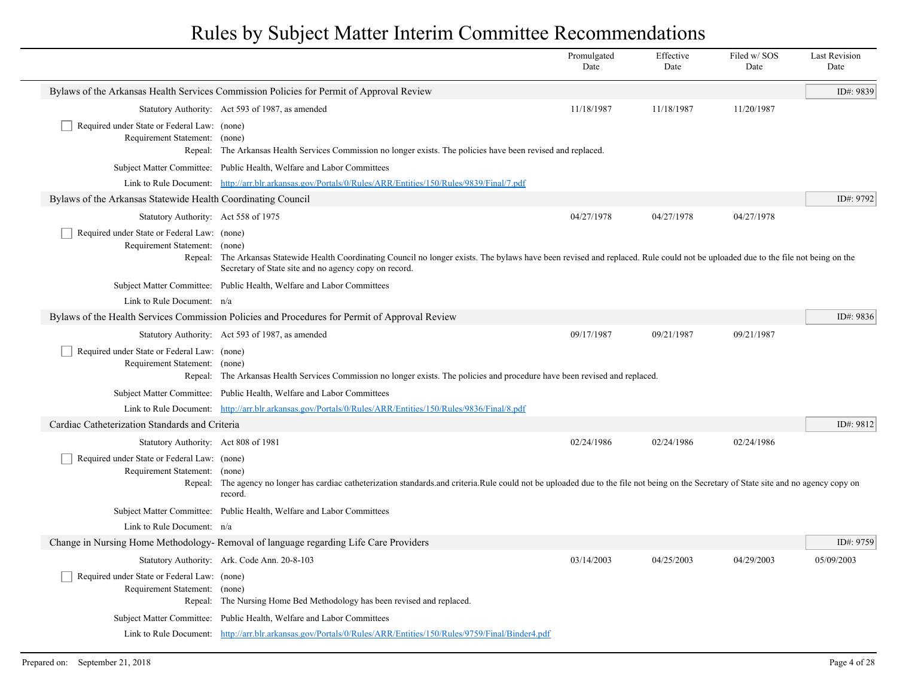|                                                                              |                                                                                                                                                                                                                                              | Promulgated<br>Date | Effective<br>Date | Filed w/SOS<br>Date | <b>Last Revision</b><br>Date |
|------------------------------------------------------------------------------|----------------------------------------------------------------------------------------------------------------------------------------------------------------------------------------------------------------------------------------------|---------------------|-------------------|---------------------|------------------------------|
|                                                                              | Bylaws of the Arkansas Health Services Commission Policies for Permit of Approval Review                                                                                                                                                     |                     |                   |                     | ID#: 9839                    |
|                                                                              | Statutory Authority: Act 593 of 1987, as amended                                                                                                                                                                                             | 11/18/1987          | 11/18/1987        | 11/20/1987          |                              |
| Required under State or Federal Law: (none)<br>Requirement Statement: (none) | Repeal: The Arkansas Health Services Commission no longer exists. The policies have been revised and replaced.                                                                                                                               |                     |                   |                     |                              |
|                                                                              | Subject Matter Committee: Public Health, Welfare and Labor Committees                                                                                                                                                                        |                     |                   |                     |                              |
|                                                                              | Link to Rule Document: http://arr.blr.arkansas.gov/Portals/0/Rules/ARR/Entities/150/Rules/9839/Final/7.pdf                                                                                                                                   |                     |                   |                     |                              |
| Bylaws of the Arkansas Statewide Health Coordinating Council                 |                                                                                                                                                                                                                                              |                     |                   |                     | ID#: 9792                    |
| Statutory Authority: Act 558 of 1975                                         |                                                                                                                                                                                                                                              | 04/27/1978          | 04/27/1978        | 04/27/1978          |                              |
| Required under State or Federal Law: (none)<br>Requirement Statement: (none) | Repeal: The Arkansas Statewide Health Coordinating Council no longer exists. The bylaws have been revised and replaced. Rule could not be uploaded due to the file not being on the<br>Secretary of State site and no agency copy on record. |                     |                   |                     |                              |
|                                                                              | Subject Matter Committee: Public Health, Welfare and Labor Committees                                                                                                                                                                        |                     |                   |                     |                              |
| Link to Rule Document: n/a                                                   |                                                                                                                                                                                                                                              |                     |                   |                     |                              |
|                                                                              | Bylaws of the Health Services Commission Policies and Procedures for Permit of Approval Review                                                                                                                                               |                     |                   |                     | ID#: 9836                    |
|                                                                              | Statutory Authority: Act 593 of 1987, as amended                                                                                                                                                                                             | 09/17/1987          | 09/21/1987        | 09/21/1987          |                              |
| Required under State or Federal Law: (none)<br>Requirement Statement: (none) | Repeal: The Arkansas Health Services Commission no longer exists. The policies and procedure have been revised and replaced.                                                                                                                 |                     |                   |                     |                              |
|                                                                              | Subject Matter Committee: Public Health, Welfare and Labor Committees                                                                                                                                                                        |                     |                   |                     |                              |
|                                                                              | Link to Rule Document: http://arr.blr.arkansas.gov/Portals/0/Rules/ARR/Entities/150/Rules/9836/Final/8.pdf                                                                                                                                   |                     |                   |                     |                              |
| Cardiac Catheterization Standards and Criteria                               |                                                                                                                                                                                                                                              |                     |                   |                     | ID#: 9812                    |
| Statutory Authority: Act 808 of 1981                                         |                                                                                                                                                                                                                                              | 02/24/1986          | 02/24/1986        | 02/24/1986          |                              |
| Required under State or Federal Law: (none)<br>Requirement Statement: (none) | Repeal: The agency no longer has cardiac catheterization standards and criteria.Rule could not be uploaded due to the file not being on the Secretary of State site and no agency copy on<br>record.                                         |                     |                   |                     |                              |
|                                                                              | Subject Matter Committee: Public Health, Welfare and Labor Committees                                                                                                                                                                        |                     |                   |                     |                              |
| Link to Rule Document: n/a                                                   |                                                                                                                                                                                                                                              |                     |                   |                     |                              |
|                                                                              | Change in Nursing Home Methodology-Removal of language regarding Life Care Providers                                                                                                                                                         |                     |                   |                     | ID#: 9759                    |
|                                                                              | Statutory Authority: Ark. Code Ann. 20-8-103                                                                                                                                                                                                 | 03/14/2003          | 04/25/2003        | 04/29/2003          | 05/09/2003                   |
| Required under State or Federal Law: (none)<br>Requirement Statement: (none) | Repeal: The Nursing Home Bed Methodology has been revised and replaced.                                                                                                                                                                      |                     |                   |                     |                              |
|                                                                              | Subject Matter Committee: Public Health, Welfare and Labor Committees                                                                                                                                                                        |                     |                   |                     |                              |
|                                                                              | Link to Rule Document: http://arr.blr.arkansas.gov/Portals/0/Rules/ARR/Entities/150/Rules/9759/Final/Binder4.pdf                                                                                                                             |                     |                   |                     |                              |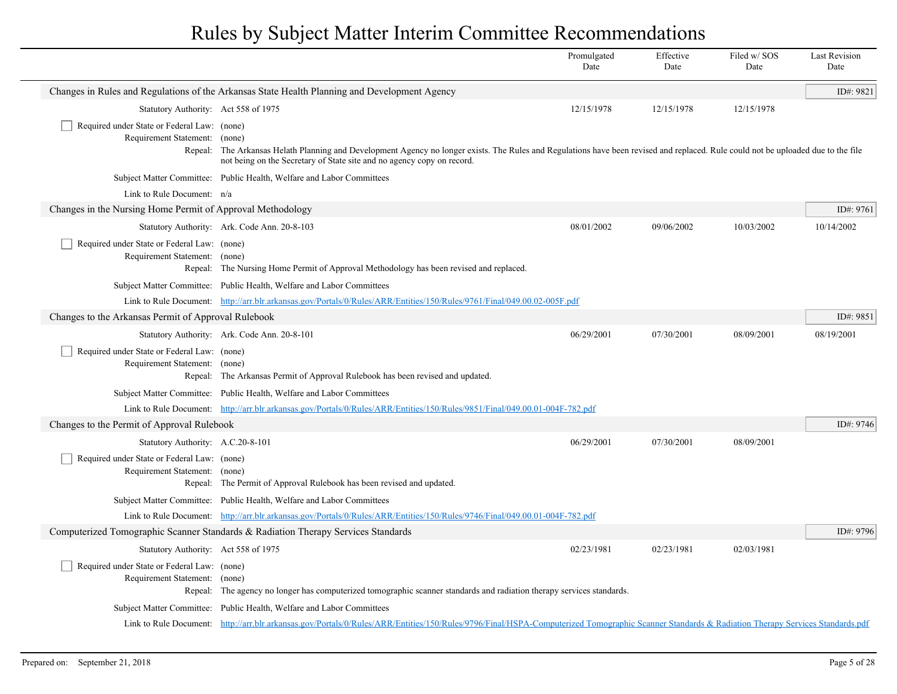|                                                                                  |                                                                                                                                                                                                                                                                | Promulgated<br>Date | Effective<br>Date | Filed w/SOS<br>Date | <b>Last Revision</b><br>Date |
|----------------------------------------------------------------------------------|----------------------------------------------------------------------------------------------------------------------------------------------------------------------------------------------------------------------------------------------------------------|---------------------|-------------------|---------------------|------------------------------|
|                                                                                  | Changes in Rules and Regulations of the Arkansas State Health Planning and Development Agency                                                                                                                                                                  |                     |                   |                     | ID#: 9821                    |
| Statutory Authority: Act 558 of 1975                                             |                                                                                                                                                                                                                                                                | 12/15/1978          | 12/15/1978        | 12/15/1978          |                              |
| Required under State or Federal Law: (none)<br>Requirement Statement:<br>Repeal: | (none)<br>The Arkansas Helath Planning and Development Agency no longer exists. The Rules and Regulations have been revised and replaced. Rule could not be uploaded due to the file<br>not being on the Secretary of State site and no agency copy on record. |                     |                   |                     |                              |
|                                                                                  | Subject Matter Committee: Public Health, Welfare and Labor Committees                                                                                                                                                                                          |                     |                   |                     |                              |
| Link to Rule Document: n/a                                                       |                                                                                                                                                                                                                                                                |                     |                   |                     |                              |
| Changes in the Nursing Home Permit of Approval Methodology                       |                                                                                                                                                                                                                                                                |                     |                   |                     | ID#: 9761                    |
|                                                                                  | Statutory Authority: Ark. Code Ann. 20-8-103                                                                                                                                                                                                                   | 08/01/2002          | 09/06/2002        | 10/03/2002          | 10/14/2002                   |
| Required under State or Federal Law: (none)<br>Requirement Statement: (none)     | Repeal: The Nursing Home Permit of Approval Methodology has been revised and replaced.                                                                                                                                                                         |                     |                   |                     |                              |
|                                                                                  | Subject Matter Committee: Public Health, Welfare and Labor Committees                                                                                                                                                                                          |                     |                   |                     |                              |
|                                                                                  | Link to Rule Document: http://arr.blr.arkansas.gov/Portals/0/Rules/ARR/Entities/150/Rules/9761/Final/049.00.02-005F.pdf                                                                                                                                        |                     |                   |                     |                              |
| Changes to the Arkansas Permit of Approval Rulebook                              |                                                                                                                                                                                                                                                                |                     |                   |                     | ID#: 9851                    |
|                                                                                  | Statutory Authority: Ark. Code Ann. 20-8-101                                                                                                                                                                                                                   | 06/29/2001          | 07/30/2001        | 08/09/2001          | 08/19/2001                   |
| Required under State or Federal Law: (none)<br>Requirement Statement: (none)     | Repeal: The Arkansas Permit of Approval Rulebook has been revised and updated.                                                                                                                                                                                 |                     |                   |                     |                              |
|                                                                                  | Subject Matter Committee: Public Health, Welfare and Labor Committees                                                                                                                                                                                          |                     |                   |                     |                              |
|                                                                                  | Link to Rule Document: http://arr.blr.arkansas.gov/Portals/0/Rules/ARR/Entities/150/Rules/9851/Final/049.00.01-004F-782.pdf                                                                                                                                    |                     |                   |                     |                              |
| Changes to the Permit of Approval Rulebook                                       |                                                                                                                                                                                                                                                                |                     |                   |                     | ID#: 9746                    |
| Statutory Authority: A.C.20-8-101                                                |                                                                                                                                                                                                                                                                | 06/29/2001          | 07/30/2001        | 08/09/2001          |                              |
| Required under State or Federal Law: (none)<br>Requirement Statement: (none)     | Repeal: The Permit of Approval Rulebook has been revised and updated.                                                                                                                                                                                          |                     |                   |                     |                              |
|                                                                                  | Subject Matter Committee: Public Health, Welfare and Labor Committees                                                                                                                                                                                          |                     |                   |                     |                              |
|                                                                                  | Link to Rule Document: http://arr.blr.arkansas.gov/Portals/0/Rules/ARR/Entities/150/Rules/9746/Final/049.00.01-004F-782.pdf                                                                                                                                    |                     |                   |                     |                              |
|                                                                                  | Computerized Tomographic Scanner Standards & Radiation Therapy Services Standards                                                                                                                                                                              |                     |                   |                     | ID#: 9796                    |
| Statutory Authority: Act 558 of 1975                                             |                                                                                                                                                                                                                                                                | 02/23/1981          | 02/23/1981        | 02/03/1981          |                              |
| Required under State or Federal Law: (none)<br>Requirement Statement: (none)     | Repeal: The agency no longer has computerized tomographic scanner standards and radiation therapy services standards.                                                                                                                                          |                     |                   |                     |                              |
| Subject Matter Committee:                                                        | Public Health, Welfare and Labor Committees                                                                                                                                                                                                                    |                     |                   |                     |                              |
|                                                                                  | Link to Rule Document: http://arr.blr.arkansas.gov/Portals/0/Rules/ARR/Entities/150/Rules/9796/Final/HSPA-Computerized Tomographic Scanner Standards & Radiation Therapy Services Standards.pdf                                                                |                     |                   |                     |                              |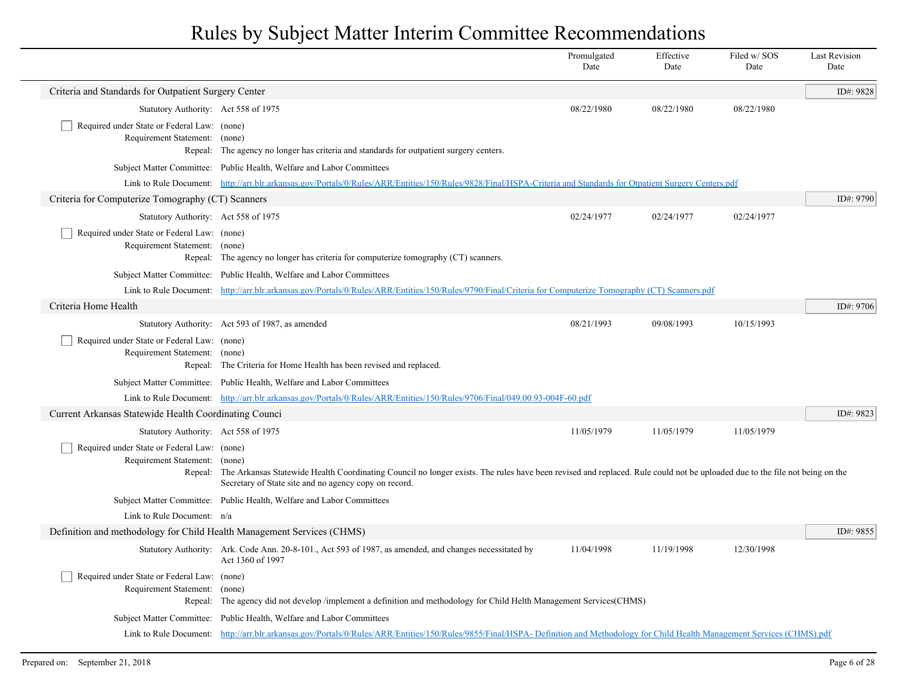|                                                                              |                                                                                                                                                                                                                                             | Promulgated<br>Date | Effective<br>Date | Filed w/SOS<br>Date | <b>Last Revision</b><br>Date |
|------------------------------------------------------------------------------|---------------------------------------------------------------------------------------------------------------------------------------------------------------------------------------------------------------------------------------------|---------------------|-------------------|---------------------|------------------------------|
| Criteria and Standards for Outpatient Surgery Center                         |                                                                                                                                                                                                                                             |                     |                   |                     | ID#: 9828                    |
| Statutory Authority: Act 558 of 1975                                         |                                                                                                                                                                                                                                             | 08/22/1980          | 08/22/1980        | 08/22/1980          |                              |
| Required under State or Federal Law: (none)<br>Requirement Statement: (none) | Repeal: The agency no longer has criteria and standards for outpatient surgery centers.                                                                                                                                                     |                     |                   |                     |                              |
|                                                                              | Subject Matter Committee: Public Health, Welfare and Labor Committees                                                                                                                                                                       |                     |                   |                     |                              |
|                                                                              | Link to Rule Document: http://arr.blr.arkansas.gov/Portals/0/Rules/ARR/Entities/150/Rules/9828/Final/HSPA-Criteria and Standards for Otpatient Surgery Centers.pdf                                                                          |                     |                   |                     |                              |
| Criteria for Computerize Tomography (CT) Scanners                            |                                                                                                                                                                                                                                             |                     |                   |                     | ID#: 9790                    |
| Statutory Authority: Act 558 of 1975                                         |                                                                                                                                                                                                                                             | 02/24/1977          | 02/24/1977        | 02/24/1977          |                              |
| Required under State or Federal Law: (none)<br>Requirement Statement: (none) | Repeal: The agency no longer has criteria for computerize tomography (CT) scanners.                                                                                                                                                         |                     |                   |                     |                              |
|                                                                              | Subject Matter Committee: Public Health, Welfare and Labor Committees                                                                                                                                                                       |                     |                   |                     |                              |
|                                                                              | Link to Rule Document: http://arr.blr.arkansas.gov/Portals/0/Rules/ARR/Entities/150/Rules/9790/Final/Criteria for Computerize Tomography (CT) Scanners.pdf                                                                                  |                     |                   |                     |                              |
| Criteria Home Health                                                         |                                                                                                                                                                                                                                             |                     |                   |                     | ID#: 9706                    |
|                                                                              | Statutory Authority: Act 593 of 1987, as amended                                                                                                                                                                                            | 08/21/1993          | 09/08/1993        | 10/15/1993          |                              |
| Required under State or Federal Law: (none)<br>Requirement Statement: (none) | Repeal: The Criteria for Home Health has been revised and replaced.                                                                                                                                                                         |                     |                   |                     |                              |
|                                                                              | Subject Matter Committee: Public Health, Welfare and Labor Committees                                                                                                                                                                       |                     |                   |                     |                              |
|                                                                              | Link to Rule Document: http://arr.blr.arkansas.gov/Portals/0/Rules/ARR/Entities/150/Rules/9706/Final/049.00.93-004F-60.pdf                                                                                                                  |                     |                   |                     |                              |
| Current Arkansas Statewide Health Coordinating Counci                        |                                                                                                                                                                                                                                             |                     |                   |                     | ID#: 9823                    |
| Statutory Authority: Act 558 of 1975                                         |                                                                                                                                                                                                                                             | 11/05/1979          | 11/05/1979        | 11/05/1979          |                              |
| Required under State or Federal Law: (none)<br>Requirement Statement: (none) | Repeal: The Arkansas Statewide Health Coordinating Council no longer exists. The rules have been revised and replaced. Rule could not be uploaded due to the file not being on the<br>Secretary of State site and no agency copy on record. |                     |                   |                     |                              |
|                                                                              | Subject Matter Committee: Public Health, Welfare and Labor Committees                                                                                                                                                                       |                     |                   |                     |                              |
| Link to Rule Document: n/a                                                   |                                                                                                                                                                                                                                             |                     |                   |                     |                              |
| Definition and methodology for Child Health Management Services (CHMS)       |                                                                                                                                                                                                                                             |                     |                   |                     | ID#: 9855                    |
|                                                                              | Statutory Authority: Ark. Code Ann. 20-8-101., Act 593 of 1987, as amended, and changes necessitated by<br>Act 1360 of 1997                                                                                                                 | 11/04/1998          | 11/19/1998        | 12/30/1998          |                              |
| Required under State or Federal Law: (none)<br>Requirement Statement: (none) | Repeal: The agency did not develop /implement a definition and methodology for Child Helth Management Services(CHMS)                                                                                                                        |                     |                   |                     |                              |
|                                                                              | Subject Matter Committee: Public Health, Welfare and Labor Committees                                                                                                                                                                       |                     |                   |                     |                              |
|                                                                              | Link to Rule Document: http://arr.blr.arkansas.gov/Portals/0/Rules/ARR/Entities/150/Rules/9855/Final/HSPA-Definition and Methodology for Child Health Management Services (CHMS).pdf                                                        |                     |                   |                     |                              |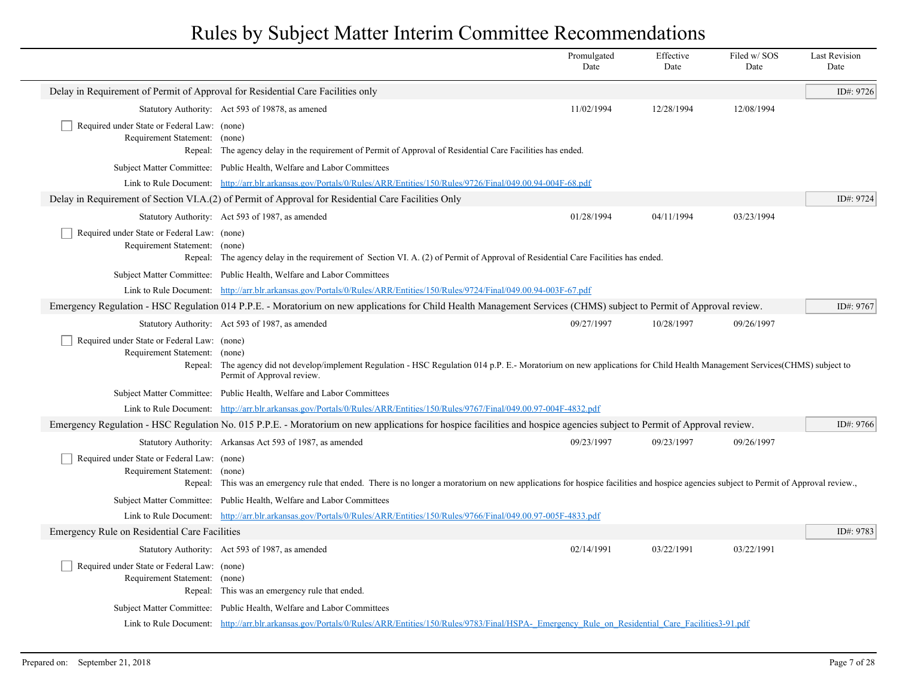|                                                                                  |                                                                                                                                                                                                                                                                                                   | Promulgated<br>Date | Effective<br>Date | Filed w/SOS<br>Date | <b>Last Revision</b><br>Date |
|----------------------------------------------------------------------------------|---------------------------------------------------------------------------------------------------------------------------------------------------------------------------------------------------------------------------------------------------------------------------------------------------|---------------------|-------------------|---------------------|------------------------------|
| Delay in Requirement of Permit of Approval for Residential Care Facilities only  |                                                                                                                                                                                                                                                                                                   |                     |                   |                     | ID#: 9726                    |
|                                                                                  | Statutory Authority: Act 593 of 19878, as amened                                                                                                                                                                                                                                                  | 11/02/1994          | 12/28/1994        | 12/08/1994          |                              |
| Required under State or Federal Law: (none)<br>Requirement Statement:            | (none)<br>Repeal: The agency delay in the requirement of Permit of Approval of Residential Care Facilities has ended.                                                                                                                                                                             |                     |                   |                     |                              |
|                                                                                  | Subject Matter Committee: Public Health, Welfare and Labor Committees                                                                                                                                                                                                                             |                     |                   |                     |                              |
|                                                                                  | Link to Rule Document: http://arr.blr.arkansas.gov/Portals/0/Rules/ARR/Entities/150/Rules/9726/Final/049.00.94-004F-68.pdf                                                                                                                                                                        |                     |                   |                     |                              |
|                                                                                  | Delay in Requirement of Section VI.A.(2) of Permit of Approval for Residential Care Facilities Only                                                                                                                                                                                               |                     |                   |                     | ID#: 9724                    |
|                                                                                  | Statutory Authority: Act 593 of 1987, as amended                                                                                                                                                                                                                                                  | 01/28/1994          | 04/11/1994        | 03/23/1994          |                              |
| Required under State or Federal Law: (none)<br>Requirement Statement:<br>Repeal: | (none)<br>The agency delay in the requirement of Section VI. A. (2) of Permit of Approval of Residential Care Facilities has ended.                                                                                                                                                               |                     |                   |                     |                              |
|                                                                                  | Subject Matter Committee: Public Health, Welfare and Labor Committees                                                                                                                                                                                                                             |                     |                   |                     |                              |
|                                                                                  | Link to Rule Document: http://arr.blr.arkansas.gov/Portals/0/Rules/ARR/Entities/150/Rules/9724/Final/049.00.94-003F-67.pdf<br>Emergency Regulation - HSC Regulation 014 P.P.E. - Moratorium on new applications for Child Health Management Services (CHMS) subject to Permit of Approval review. |                     |                   |                     | ID#: 9767                    |
|                                                                                  | Statutory Authority: Act 593 of 1987, as amended                                                                                                                                                                                                                                                  | 09/27/1997          | 10/28/1997        | 09/26/1997          |                              |
| Required under State or Federal Law: (none)<br>Requirement Statement:            | (none)<br>Repeal: The agency did not develop/implement Regulation - HSC Regulation 014 p.P. E.-Moratorium on new applications for Child Health Management Services(CHMS) subject to<br>Permit of Approval review.                                                                                 |                     |                   |                     |                              |
|                                                                                  | Subject Matter Committee: Public Health, Welfare and Labor Committees                                                                                                                                                                                                                             |                     |                   |                     |                              |
|                                                                                  | Link to Rule Document: http://arr.blr.arkansas.gov/Portals/0/Rules/ARR/Entities/150/Rules/9767/Final/049.00.97-004F-4832.pdf                                                                                                                                                                      |                     |                   |                     |                              |
|                                                                                  | Emergency Regulation - HSC Regulation No. 015 P.P.E. - Moratorium on new applications for hospice facilities and hospice agencies subject to Permit of Approval review.                                                                                                                           |                     |                   |                     | ID#: 9766                    |
|                                                                                  | Statutory Authority: Arkansas Act 593 of 1987, as amended                                                                                                                                                                                                                                         | 09/23/1997          | 09/23/1997        | 09/26/1997          |                              |
| Required under State or Federal Law: (none)<br>Requirement Statement:            | (none)<br>Repeal: This was an emergency rule that ended. There is no longer a moratorium on new applications for hospice facilities and hospice agencies subject to Permit of Approval review.,                                                                                                   |                     |                   |                     |                              |
|                                                                                  | Subject Matter Committee: Public Health, Welfare and Labor Committees                                                                                                                                                                                                                             |                     |                   |                     |                              |
|                                                                                  | Link to Rule Document: http://arr.blr.arkansas.gov/Portals/0/Rules/ARR/Entities/150/Rules/9766/Final/049.00.97-005F-4833.pdf                                                                                                                                                                      |                     |                   |                     |                              |
| Emergency Rule on Residential Care Facilities                                    |                                                                                                                                                                                                                                                                                                   |                     |                   |                     | ID#: 9783                    |
|                                                                                  | Statutory Authority: Act 593 of 1987, as amended                                                                                                                                                                                                                                                  | 02/14/1991          | 03/22/1991        | 03/22/1991          |                              |
| Required under State or Federal Law: (none)<br>Requirement Statement: (none)     | Repeal: This was an emergency rule that ended.                                                                                                                                                                                                                                                    |                     |                   |                     |                              |
|                                                                                  | Subject Matter Committee: Public Health, Welfare and Labor Committees                                                                                                                                                                                                                             |                     |                   |                     |                              |
|                                                                                  | Link to Rule Document: http://arr.blr.arkansas.gov/Portals/0/Rules/ARR/Entities/150/Rules/9783/Final/HSPA- Emergency Rule on Residential Care Facilities3-91.pdf                                                                                                                                  |                     |                   |                     |                              |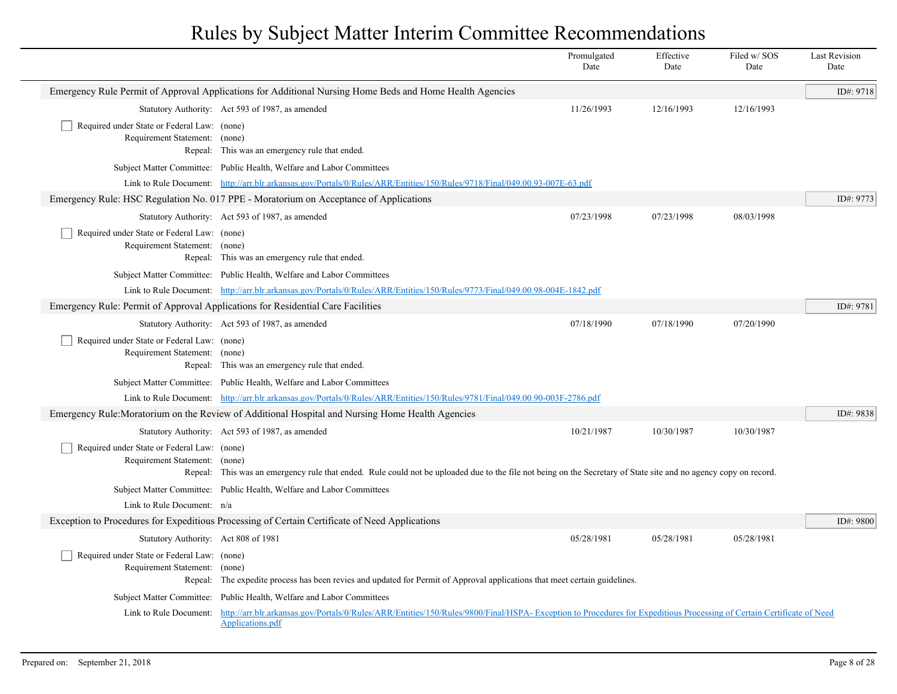|                                                                                 |                                                                                                                                                                                           | Promulgated<br>Date | Effective<br>Date | Filed w/SOS<br>Date | <b>Last Revision</b><br>Date |
|---------------------------------------------------------------------------------|-------------------------------------------------------------------------------------------------------------------------------------------------------------------------------------------|---------------------|-------------------|---------------------|------------------------------|
|                                                                                 | Emergency Rule Permit of Approval Applications for Additional Nursing Home Beds and Home Health Agencies                                                                                  |                     |                   |                     | ID#: 9718                    |
|                                                                                 | Statutory Authority: Act 593 of 1987, as amended                                                                                                                                          | 11/26/1993          | 12/16/1993        | 12/16/1993          |                              |
| Required under State or Federal Law: (none)<br>Requirement Statement: (none)    | Repeal: This was an emergency rule that ended.                                                                                                                                            |                     |                   |                     |                              |
|                                                                                 | Subject Matter Committee: Public Health, Welfare and Labor Committees                                                                                                                     |                     |                   |                     |                              |
|                                                                                 | Link to Rule Document: http://arr.blr.arkansas.gov/Portals/0/Rules/ARR/Entities/150/Rules/9718/Final/049.00.93-007E-63.pdf                                                                |                     |                   |                     |                              |
|                                                                                 | Emergency Rule: HSC Regulation No. 017 PPE - Moratorium on Acceptance of Applications                                                                                                     |                     |                   |                     | ID#: 9773                    |
|                                                                                 | Statutory Authority: Act 593 of 1987, as amended                                                                                                                                          | 07/23/1998          | 07/23/1998        | 08/03/1998          |                              |
| Required under State or Federal Law: (none)<br>Requirement Statement: (none)    | Repeal: This was an emergency rule that ended.                                                                                                                                            |                     |                   |                     |                              |
|                                                                                 | Subject Matter Committee: Public Health, Welfare and Labor Committees                                                                                                                     |                     |                   |                     |                              |
|                                                                                 | Link to Rule Document: http://arr.blr.arkansas.gov/Portals/0/Rules/ARR/Entities/150/Rules/9773/Final/049.00.98-004E-1842.pdf                                                              |                     |                   |                     |                              |
| Emergency Rule: Permit of Approval Applications for Residential Care Facilities |                                                                                                                                                                                           |                     |                   |                     | ID#: 9781                    |
|                                                                                 | Statutory Authority: Act 593 of 1987, as amended                                                                                                                                          | 07/18/1990          | 07/18/1990        | 07/20/1990          |                              |
| Required under State or Federal Law: (none)<br>Requirement Statement: (none)    | Repeal: This was an emergency rule that ended.                                                                                                                                            |                     |                   |                     |                              |
|                                                                                 | Subject Matter Committee: Public Health, Welfare and Labor Committees                                                                                                                     |                     |                   |                     |                              |
|                                                                                 | Link to Rule Document: http://arr.blr.arkansas.gov/Portals/0/Rules/ARR/Entities/150/Rules/9781/Final/049.00.90-003F-2786.pdf                                                              |                     |                   |                     |                              |
|                                                                                 | Emergency Rule: Moratorium on the Review of Additional Hospital and Nursing Home Health Agencies                                                                                          |                     |                   |                     | ID#: 9838                    |
|                                                                                 | Statutory Authority: Act 593 of 1987, as amended                                                                                                                                          | 10/21/1987          | 10/30/1987        | 10/30/1987          |                              |
| Required under State or Federal Law: (none)<br>Requirement Statement: (none)    | Repeal: This was an emergency rule that ended. Rule could not be uploaded due to the file not being on the Secretary of State site and no agency copy on record.                          |                     |                   |                     |                              |
|                                                                                 | Subject Matter Committee: Public Health, Welfare and Labor Committees                                                                                                                     |                     |                   |                     |                              |
| Link to Rule Document: n/a                                                      |                                                                                                                                                                                           |                     |                   |                     |                              |
|                                                                                 | Exception to Procedures for Expeditious Processing of Certain Certificate of Need Applications                                                                                            |                     |                   |                     | ID#: 9800                    |
| Statutory Authority: Act 808 of 1981                                            |                                                                                                                                                                                           | 05/28/1981          | 05/28/1981        | 05/28/1981          |                              |
| Required under State or Federal Law: (none)<br>Requirement Statement:           | (none)<br>Repeal: The expedite process has been revies and updated for Permit of Approval applications that meet certain guidelines.                                                      |                     |                   |                     |                              |
|                                                                                 | Subject Matter Committee: Public Health, Welfare and Labor Committees                                                                                                                     |                     |                   |                     |                              |
| Link to Rule Document:                                                          | http://arr.blr.arkansas.gov/Portals/0/Rules/ARR/Entities/150/Rules/9800/Final/HSPA- Exception to Procedures for Expeditious Processing of Certain Certificate of Need<br>Applications.pdf |                     |                   |                     |                              |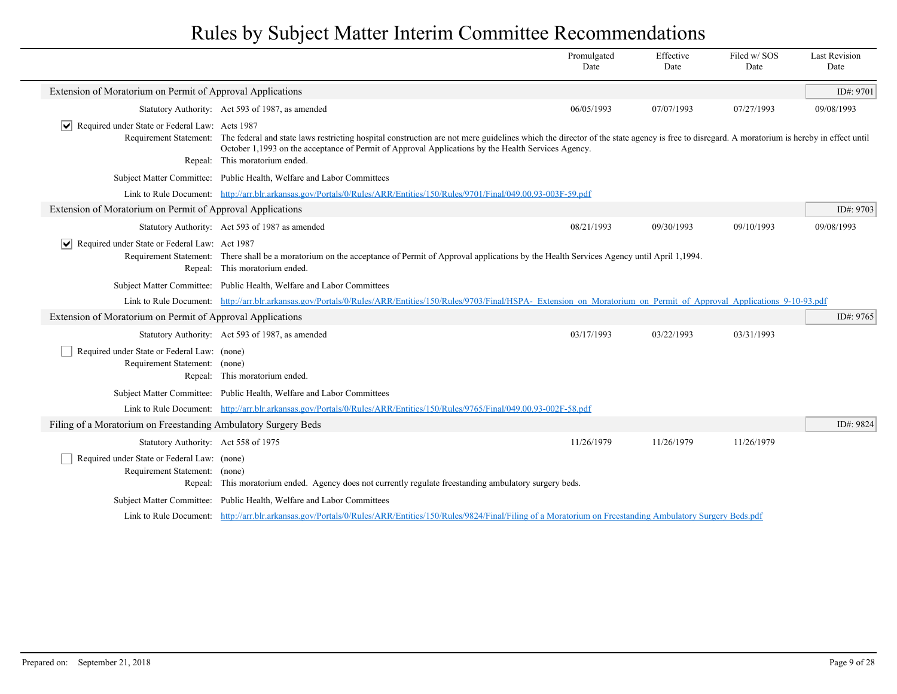|                                                                                  |                                                                                                                                                                                                                                                                                                                                                         | Promulgated<br>Date | Effective<br>Date | Filed w/SOS<br>Date | <b>Last Revision</b><br>Date |
|----------------------------------------------------------------------------------|---------------------------------------------------------------------------------------------------------------------------------------------------------------------------------------------------------------------------------------------------------------------------------------------------------------------------------------------------------|---------------------|-------------------|---------------------|------------------------------|
| Extension of Moratorium on Permit of Approval Applications                       |                                                                                                                                                                                                                                                                                                                                                         |                     |                   |                     | ID#: $9701$                  |
|                                                                                  | Statutory Authority: Act 593 of 1987, as amended                                                                                                                                                                                                                                                                                                        | 06/05/1993          | 07/07/1993        | 07/27/1993          | 09/08/1993                   |
| Required under State or Federal Law: Acts 1987<br>$ \bm{\mathsf{v}} $            | Requirement Statement: The federal and state laws restricting hospital construction are not mere guidelines which the director of the state agency is free to disregard. A moratorium is hereby in effect until<br>October 1,1993 on the acceptance of Permit of Approval Applications by the Health Services Agency.<br>Repeal: This moratorium ended. |                     |                   |                     |                              |
|                                                                                  | Subject Matter Committee: Public Health, Welfare and Labor Committees                                                                                                                                                                                                                                                                                   |                     |                   |                     |                              |
|                                                                                  | Link to Rule Document: http://arr.blr.arkansas.gov/Portals/0/Rules/ARR/Entities/150/Rules/9701/Final/049.00.93-003F-59.pdf                                                                                                                                                                                                                              |                     |                   |                     |                              |
| Extension of Moratorium on Permit of Approval Applications                       |                                                                                                                                                                                                                                                                                                                                                         |                     |                   |                     | ID#: 9703                    |
|                                                                                  | Statutory Authority: Act 593 of 1987 as amended                                                                                                                                                                                                                                                                                                         | 08/21/1993          | 09/30/1993        | 09/10/1993          | 09/08/1993                   |
| Required under State or Federal Law: Act 1987<br>$ \bm{\mathsf{v}} $<br>Repeal:  | Requirement Statement: There shall be a moratorium on the acceptance of Permit of Approval applications by the Health Services Agency until April 1,1994.<br>This moratorium ended.                                                                                                                                                                     |                     |                   |                     |                              |
|                                                                                  | Subject Matter Committee: Public Health, Welfare and Labor Committees                                                                                                                                                                                                                                                                                   |                     |                   |                     |                              |
|                                                                                  | Link to Rule Document: http://arr.blr.arkansas.gov/Portals/0/Rules/ARR/Entities/150/Rules/9703/Final/HSPA- Extension on Moratorium on Permit of Approval Applications 9-10-93.pdf                                                                                                                                                                       |                     |                   |                     |                              |
| Extension of Moratorium on Permit of Approval Applications                       |                                                                                                                                                                                                                                                                                                                                                         |                     |                   |                     | ID#: 9765                    |
|                                                                                  | Statutory Authority: Act 593 of 1987, as amended                                                                                                                                                                                                                                                                                                        | 03/17/1993          | 03/22/1993        | 03/31/1993          |                              |
| Required under State or Federal Law: (none)<br>Requirement Statement: (none)     | Repeal: This moratorium ended.                                                                                                                                                                                                                                                                                                                          |                     |                   |                     |                              |
|                                                                                  | Subject Matter Committee: Public Health, Welfare and Labor Committees                                                                                                                                                                                                                                                                                   |                     |                   |                     |                              |
|                                                                                  | Link to Rule Document: http://arr.blr.arkansas.gov/Portals/0/Rules/ARR/Entities/150/Rules/9765/Final/049.00.93-002F-58.pdf                                                                                                                                                                                                                              |                     |                   |                     |                              |
| Filing of a Moratorium on Freestanding Ambulatory Surgery Beds                   |                                                                                                                                                                                                                                                                                                                                                         |                     |                   |                     | ID#: 9824                    |
| Statutory Authority: Act 558 of 1975                                             |                                                                                                                                                                                                                                                                                                                                                         | 11/26/1979          | 11/26/1979        | 11/26/1979          |                              |
| Required under State or Federal Law: (none)<br>Requirement Statement:<br>Repeal: | (none)<br>This moratorium ended. Agency does not currently regulate freestanding ambulatory surgery beds.                                                                                                                                                                                                                                               |                     |                   |                     |                              |
|                                                                                  | Subject Matter Committee: Public Health, Welfare and Labor Committees                                                                                                                                                                                                                                                                                   |                     |                   |                     |                              |
|                                                                                  | Link to Rule Document: http://arr.blr.arkansas.gov/Portals/0/Rules/ARR/Entities/150/Rules/9824/Final/Filing of a Moratorium on Freestanding Ambulatory Surgery Beds.pdf                                                                                                                                                                                 |                     |                   |                     |                              |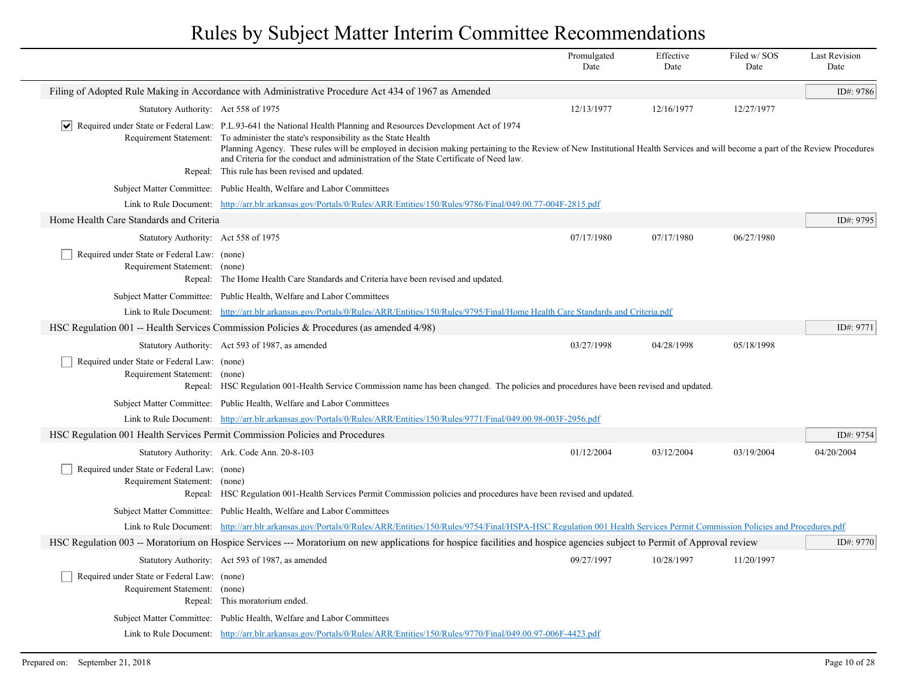|                                                                              |                                                                                                                                                                                                                                                                                                                                                                                                                                                                                                               | Promulgated<br>Date | Effective<br>Date | Filed w/SOS<br>Date | <b>Last Revision</b><br>Date |
|------------------------------------------------------------------------------|---------------------------------------------------------------------------------------------------------------------------------------------------------------------------------------------------------------------------------------------------------------------------------------------------------------------------------------------------------------------------------------------------------------------------------------------------------------------------------------------------------------|---------------------|-------------------|---------------------|------------------------------|
|                                                                              | Filing of Adopted Rule Making in Accordance with Administrative Procedure Act 434 of 1967 as Amended                                                                                                                                                                                                                                                                                                                                                                                                          |                     |                   |                     | ID#: 9786                    |
| Statutory Authority: Act 558 of 1975                                         |                                                                                                                                                                                                                                                                                                                                                                                                                                                                                                               | 12/13/1977          | 12/16/1977        | 12/27/1977          |                              |
|                                                                              | $\vert \checkmark \vert$ Required under State or Federal Law: P.L.93-641 the National Health Planning and Resources Development Act of 1974<br>Requirement Statement: To administer the state's responsibility as the State Health<br>Planning Agency. These rules will be employed in decision making pertaining to the Review of New Institutional Health Services and will become a part of the Review Procedures<br>and Criteria for the conduct and administration of the State Certificate of Need law. |                     |                   |                     |                              |
|                                                                              | Repeal: This rule has been revised and updated.                                                                                                                                                                                                                                                                                                                                                                                                                                                               |                     |                   |                     |                              |
|                                                                              | Subject Matter Committee: Public Health, Welfare and Labor Committees                                                                                                                                                                                                                                                                                                                                                                                                                                         |                     |                   |                     |                              |
|                                                                              | Link to Rule Document: http://arr.blr.arkansas.gov/Portals/0/Rules/ARR/Entities/150/Rules/9786/Final/049.00.77-004F-2815.pdf                                                                                                                                                                                                                                                                                                                                                                                  |                     |                   |                     |                              |
| Home Health Care Standards and Criteria                                      |                                                                                                                                                                                                                                                                                                                                                                                                                                                                                                               |                     |                   |                     | ID#: 9795                    |
| Statutory Authority: Act 558 of 1975                                         |                                                                                                                                                                                                                                                                                                                                                                                                                                                                                                               | 07/17/1980          | 07/17/1980        | 06/27/1980          |                              |
| Required under State or Federal Law: (none)<br>Requirement Statement: (none) | Repeal: The Home Health Care Standards and Criteria have been revised and updated.                                                                                                                                                                                                                                                                                                                                                                                                                            |                     |                   |                     |                              |
|                                                                              | Subject Matter Committee: Public Health, Welfare and Labor Committees                                                                                                                                                                                                                                                                                                                                                                                                                                         |                     |                   |                     |                              |
|                                                                              | Link to Rule Document: http://arr.blr.arkansas.gov/Portals/0/Rules/ARR/Entities/150/Rules/9795/Final/Home Health Care Standards and Criteria.pdf                                                                                                                                                                                                                                                                                                                                                              |                     |                   |                     |                              |
|                                                                              | HSC Regulation 001 -- Health Services Commission Policies & Procedures (as amended $4/98$ )                                                                                                                                                                                                                                                                                                                                                                                                                   |                     |                   |                     | ID#: $9771$                  |
|                                                                              | Statutory Authority: Act 593 of 1987, as amended                                                                                                                                                                                                                                                                                                                                                                                                                                                              | 03/27/1998          | 04/28/1998        | 05/18/1998          |                              |
| Required under State or Federal Law: (none)<br>Requirement Statement: (none) | Repeal: HSC Regulation 001-Health Service Commission name has been changed. The policies and procedures have been revised and updated.                                                                                                                                                                                                                                                                                                                                                                        |                     |                   |                     |                              |
|                                                                              | Subject Matter Committee: Public Health, Welfare and Labor Committees                                                                                                                                                                                                                                                                                                                                                                                                                                         |                     |                   |                     |                              |
| Link to Rule Document:                                                       | http://arr.blr.arkansas.gov/Portals/0/Rules/ARR/Entities/150/Rules/9771/Final/049.00.98-003F-2956.pdf                                                                                                                                                                                                                                                                                                                                                                                                         |                     |                   |                     |                              |
|                                                                              | HSC Regulation 001 Health Services Permit Commission Policies and Procedures                                                                                                                                                                                                                                                                                                                                                                                                                                  |                     |                   |                     | ID#: 9754                    |
|                                                                              | Statutory Authority: Ark. Code Ann. 20-8-103                                                                                                                                                                                                                                                                                                                                                                                                                                                                  | 01/12/2004          | 03/12/2004        | 03/19/2004          | 04/20/2004                   |
| Required under State or Federal Law: (none)<br>Requirement Statement: (none) | Repeal: HSC Regulation 001-Health Services Permit Commission policies and procedures have been revised and updated.                                                                                                                                                                                                                                                                                                                                                                                           |                     |                   |                     |                              |
|                                                                              | Subject Matter Committee: Public Health, Welfare and Labor Committees                                                                                                                                                                                                                                                                                                                                                                                                                                         |                     |                   |                     |                              |
|                                                                              | Link to Rule Document: http://arr.blr.arkansas.gov/Portals/0/Rules/ARR/Entities/150/Rules/9754/Final/HSPA-HSC Regulation 001 Health Services Permit Commission Policies and Procedures.pdf                                                                                                                                                                                                                                                                                                                    |                     |                   |                     |                              |
|                                                                              | HSC Regulation 003 -- Moratorium on Hospice Services --- Moratorium on new applications for hospice facilities and hospice agencies subject to Permit of Approval review                                                                                                                                                                                                                                                                                                                                      |                     |                   |                     | ID#: 9770                    |
|                                                                              | Statutory Authority: Act 593 of 1987, as amended                                                                                                                                                                                                                                                                                                                                                                                                                                                              | 09/27/1997          | 10/28/1997        | 11/20/1997          |                              |
| Required under State or Federal Law: (none)<br>Requirement Statement:        | (none)<br>Repeal: This moratorium ended.                                                                                                                                                                                                                                                                                                                                                                                                                                                                      |                     |                   |                     |                              |
|                                                                              | Subject Matter Committee: Public Health, Welfare and Labor Committees                                                                                                                                                                                                                                                                                                                                                                                                                                         |                     |                   |                     |                              |
|                                                                              | Link to Rule Document: http://arr.blr.arkansas.gov/Portals/0/Rules/ARR/Entities/150/Rules/9770/Final/049.00.97-006F-4423.pdf                                                                                                                                                                                                                                                                                                                                                                                  |                     |                   |                     |                              |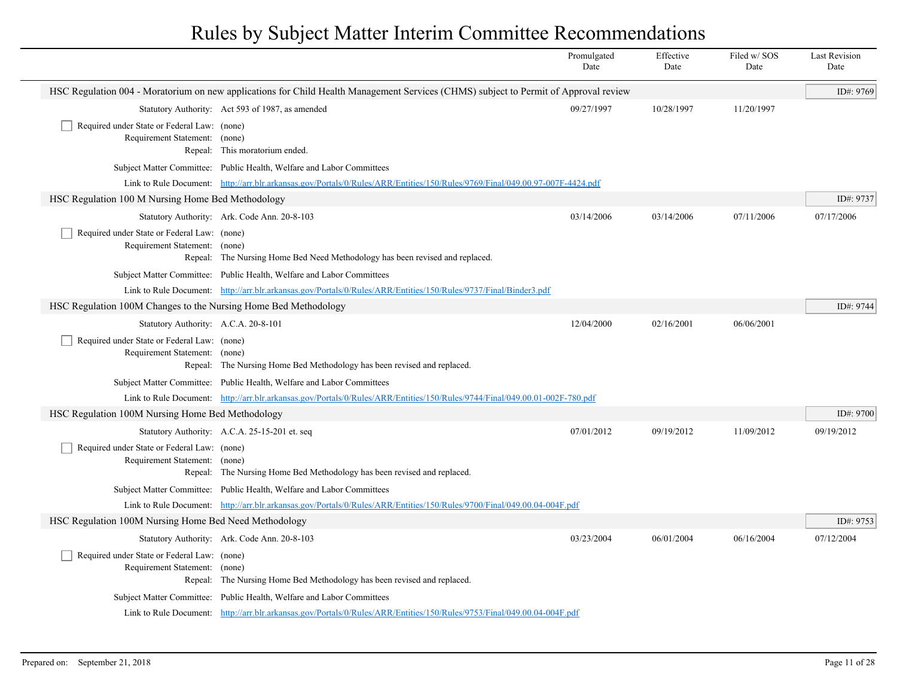|                                                                              |                                                                                                                                      | Promulgated<br>Date | Effective<br>Date | Filed w/SOS<br>Date | <b>Last Revision</b><br>Date |
|------------------------------------------------------------------------------|--------------------------------------------------------------------------------------------------------------------------------------|---------------------|-------------------|---------------------|------------------------------|
|                                                                              | HSC Regulation 004 - Moratorium on new applications for Child Health Management Services (CHMS) subject to Permit of Approval review |                     |                   |                     | ID#: 9769                    |
|                                                                              | Statutory Authority: Act 593 of 1987, as amended                                                                                     | 09/27/1997          | 10/28/1997        | 11/20/1997          |                              |
| Required under State or Federal Law: (none)<br>Requirement Statement: (none) | Repeal: This moratorium ended.                                                                                                       |                     |                   |                     |                              |
|                                                                              | Subject Matter Committee: Public Health, Welfare and Labor Committees                                                                |                     |                   |                     |                              |
|                                                                              | Link to Rule Document: http://arr.blr.arkansas.gov/Portals/0/Rules/ARR/Entities/150/Rules/9769/Final/049.00.97-007F-4424.pdf         |                     |                   |                     |                              |
| HSC Regulation 100 M Nursing Home Bed Methodology                            |                                                                                                                                      |                     |                   |                     | ID#: 9737                    |
|                                                                              | Statutory Authority: Ark. Code Ann. 20-8-103                                                                                         | 03/14/2006          | 03/14/2006        | 07/11/2006          | 07/17/2006                   |
| Required under State or Federal Law: (none)<br>Requirement Statement: (none) | Repeal: The Nursing Home Bed Need Methodology has been revised and replaced.                                                         |                     |                   |                     |                              |
|                                                                              | Subject Matter Committee: Public Health, Welfare and Labor Committees                                                                |                     |                   |                     |                              |
|                                                                              | Link to Rule Document: http://arr.blr.arkansas.gov/Portals/0/Rules/ARR/Entities/150/Rules/9737/Final/Binder3.pdf                     |                     |                   |                     |                              |
| HSC Regulation 100M Changes to the Nursing Home Bed Methodology              |                                                                                                                                      |                     |                   |                     | ID#: 9744                    |
| Statutory Authority: A.C.A. 20-8-101                                         |                                                                                                                                      | 12/04/2000          | 02/16/2001        | 06/06/2001          |                              |
| Required under State or Federal Law: (none)<br>Requirement Statement: (none) | Repeal: The Nursing Home Bed Methodology has been revised and replaced.                                                              |                     |                   |                     |                              |
|                                                                              | Subject Matter Committee: Public Health, Welfare and Labor Committees                                                                |                     |                   |                     |                              |
|                                                                              | Link to Rule Document: http://arr.blr.arkansas.gov/Portals/0/Rules/ARR/Entities/150/Rules/9744/Final/049.00.01-002F-780.pdf          |                     |                   |                     |                              |
| HSC Regulation 100M Nursing Home Bed Methodology                             |                                                                                                                                      |                     |                   |                     | ID#: $9700$                  |
|                                                                              | Statutory Authority: A.C.A. 25-15-201 et. seq                                                                                        | 07/01/2012          | 09/19/2012        | 11/09/2012          | 09/19/2012                   |
| Required under State or Federal Law: (none)<br>Requirement Statement: (none) | Repeal: The Nursing Home Bed Methodology has been revised and replaced.                                                              |                     |                   |                     |                              |
|                                                                              | Subject Matter Committee: Public Health, Welfare and Labor Committees                                                                |                     |                   |                     |                              |
|                                                                              | Link to Rule Document: http://arr.blr.arkansas.gov/Portals/0/Rules/ARR/Entities/150/Rules/9700/Final/049.00.04-004F.pdf              |                     |                   |                     |                              |
| HSC Regulation 100M Nursing Home Bed Need Methodology                        |                                                                                                                                      |                     |                   |                     | ID#: 9753                    |
|                                                                              | Statutory Authority: Ark. Code Ann. 20-8-103                                                                                         | 03/23/2004          | 06/01/2004        | 06/16/2004          | 07/12/2004                   |
| Required under State or Federal Law: (none)<br>Requirement Statement: (none) | Repeal: The Nursing Home Bed Methodology has been revised and replaced.                                                              |                     |                   |                     |                              |
|                                                                              | Subject Matter Committee: Public Health, Welfare and Labor Committees                                                                |                     |                   |                     |                              |
|                                                                              | Link to Rule Document: http://arr.blr.arkansas.gov/Portals/0/Rules/ARR/Entities/150/Rules/9753/Final/049.00.04-004F.pdf              |                     |                   |                     |                              |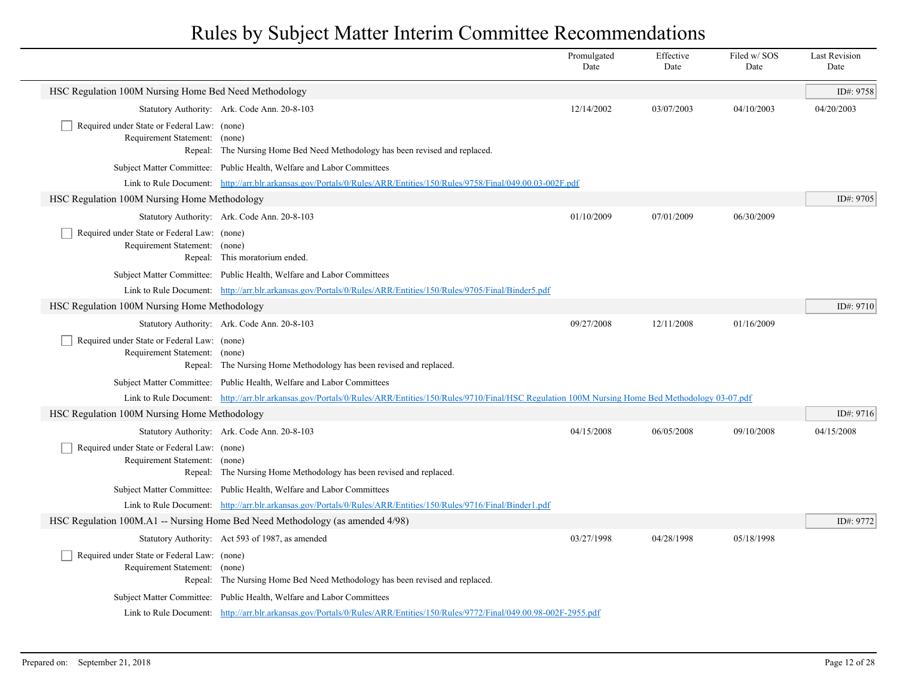|                                                                              |                                                                                                                                                                 | Promulgated<br>Date | Effective<br>Date | Filed w/SOS<br>Date | <b>Last Revision</b><br>Date |
|------------------------------------------------------------------------------|-----------------------------------------------------------------------------------------------------------------------------------------------------------------|---------------------|-------------------|---------------------|------------------------------|
| HSC Regulation 100M Nursing Home Bed Need Methodology                        |                                                                                                                                                                 |                     |                   |                     | ID#: 9758                    |
|                                                                              | Statutory Authority: Ark. Code Ann. 20-8-103                                                                                                                    | 12/14/2002          | 03/07/2003        | 04/10/2003          | 04/20/2003                   |
| Required under State or Federal Law: (none)<br>Requirement Statement: (none) | Repeal: The Nursing Home Bed Need Methodology has been revised and replaced.                                                                                    |                     |                   |                     |                              |
|                                                                              | Subject Matter Committee: Public Health, Welfare and Labor Committees                                                                                           |                     |                   |                     |                              |
|                                                                              | Link to Rule Document: http://arr.blr.arkansas.gov/Portals/0/Rules/ARR/Entities/150/Rules/9758/Final/049.00.03-002F.pdf                                         |                     |                   |                     |                              |
| HSC Regulation 100M Nursing Home Methodology                                 |                                                                                                                                                                 |                     |                   |                     | ID#: 9705                    |
|                                                                              | Statutory Authority: Ark. Code Ann. 20-8-103                                                                                                                    | 01/10/2009          | 07/01/2009        | 06/30/2009          |                              |
| Required under State or Federal Law: (none)<br>Requirement Statement: (none) | Repeal: This moratorium ended.                                                                                                                                  |                     |                   |                     |                              |
|                                                                              | Subject Matter Committee: Public Health, Welfare and Labor Committees                                                                                           |                     |                   |                     |                              |
|                                                                              | Link to Rule Document: http://arr.blr.arkansas.gov/Portals/0/Rules/ARR/Entities/150/Rules/9705/Final/Binder5.pdf                                                |                     |                   |                     |                              |
| HSC Regulation 100M Nursing Home Methodology                                 |                                                                                                                                                                 |                     |                   |                     | ID#: 9710                    |
|                                                                              | Statutory Authority: Ark. Code Ann. 20-8-103                                                                                                                    | 09/27/2008          | 12/11/2008        | 01/16/2009          |                              |
| Required under State or Federal Law: (none)<br>Requirement Statement: (none) | Repeal: The Nursing Home Methodology has been revised and replaced.                                                                                             |                     |                   |                     |                              |
|                                                                              | Subject Matter Committee: Public Health, Welfare and Labor Committees                                                                                           |                     |                   |                     |                              |
|                                                                              | Link to Rule Document: http://arr.blr.arkansas.gov/Portals/0/Rules/ARR/Entities/150/Rules/9710/Final/HSC Regulation 100M Nursing Home Bed Methodology 03-07.pdf |                     |                   |                     |                              |
| HSC Regulation 100M Nursing Home Methodology                                 |                                                                                                                                                                 |                     |                   |                     | ID#: 9716                    |
|                                                                              | Statutory Authority: Ark. Code Ann. 20-8-103                                                                                                                    | 04/15/2008          | 06/05/2008        | 09/10/2008          | 04/15/2008                   |
| Required under State or Federal Law: (none)<br>Requirement Statement: (none) | Repeal: The Nursing Home Methodology has been revised and replaced.                                                                                             |                     |                   |                     |                              |
|                                                                              | Subject Matter Committee: Public Health, Welfare and Labor Committees                                                                                           |                     |                   |                     |                              |
|                                                                              | Link to Rule Document: http://arr.blr.arkansas.gov/Portals/0/Rules/ARR/Entities/150/Rules/9716/Final/Binder1.pdf                                                |                     |                   |                     |                              |
|                                                                              | HSC Regulation 100M.A1 -- Nursing Home Bed Need Methodology (as amended 4/98)                                                                                   |                     |                   |                     | ID#: 9772                    |
|                                                                              | Statutory Authority: Act 593 of 1987, as amended                                                                                                                | 03/27/1998          | 04/28/1998        | 05/18/1998          |                              |
| Required under State or Federal Law: (none)<br>Requirement Statement: (none) | Repeal: The Nursing Home Bed Need Methodology has been revised and replaced.                                                                                    |                     |                   |                     |                              |
|                                                                              | Subject Matter Committee: Public Health, Welfare and Labor Committees                                                                                           |                     |                   |                     |                              |
|                                                                              | Link to Rule Document: http://arr.blr.arkansas.gov/Portals/0/Rules/ARR/Entities/150/Rules/9772/Final/049.00.98-002F-2955.pdf                                    |                     |                   |                     |                              |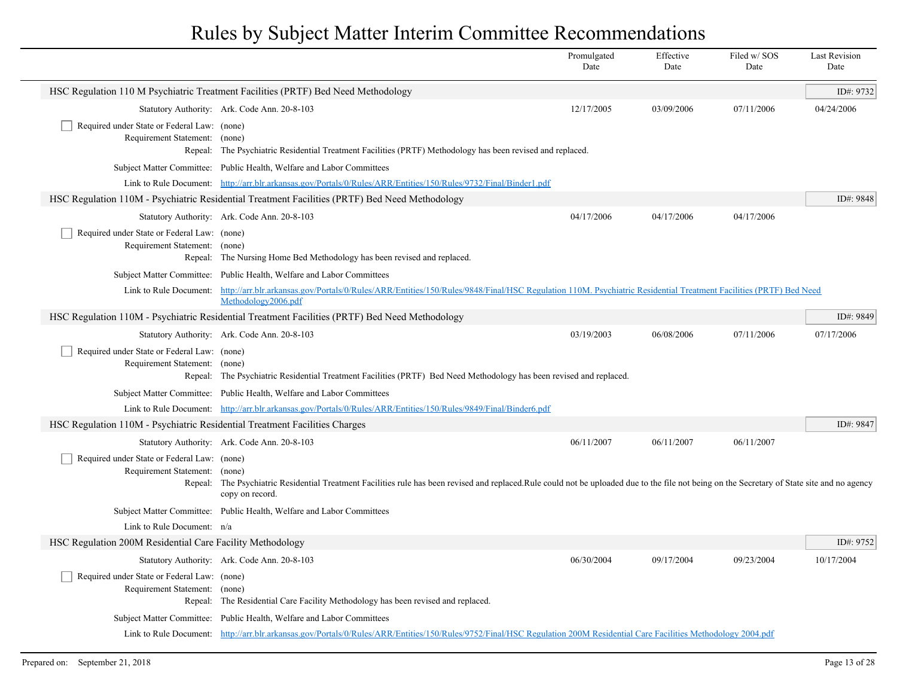|                                                                              |                                                                                                                                                                                                                  | Promulgated<br>Date | Effective<br>Date | Filed w/SOS<br>Date | <b>Last Revision</b><br>Date |
|------------------------------------------------------------------------------|------------------------------------------------------------------------------------------------------------------------------------------------------------------------------------------------------------------|---------------------|-------------------|---------------------|------------------------------|
|                                                                              | HSC Regulation 110 M Psychiatric Treatment Facilities (PRTF) Bed Need Methodology                                                                                                                                |                     |                   |                     | ID#: 9732                    |
|                                                                              | Statutory Authority: Ark. Code Ann. 20-8-103                                                                                                                                                                     | 12/17/2005          | 03/09/2006        | 07/11/2006          | 04/24/2006                   |
| Required under State or Federal Law: (none)<br>Requirement Statement: (none) | Repeal: The Psychiatric Residential Treatment Facilities (PRTF) Methodology has been revised and replaced.                                                                                                       |                     |                   |                     |                              |
|                                                                              | Subject Matter Committee: Public Health, Welfare and Labor Committees                                                                                                                                            |                     |                   |                     |                              |
|                                                                              | Link to Rule Document: http://arr.blr.arkansas.gov/Portals/0/Rules/ARR/Entities/150/Rules/9732/Final/Binder1.pdf                                                                                                 |                     |                   |                     |                              |
|                                                                              | HSC Regulation 110M - Psychiatric Residential Treatment Facilities (PRTF) Bed Need Methodology                                                                                                                   |                     |                   |                     | ID#: 9848                    |
|                                                                              | Statutory Authority: Ark. Code Ann. 20-8-103                                                                                                                                                                     | 04/17/2006          | 04/17/2006        | 04/17/2006          |                              |
| Required under State or Federal Law: (none)<br>Requirement Statement: (none) | Repeal: The Nursing Home Bed Methodology has been revised and replaced.                                                                                                                                          |                     |                   |                     |                              |
|                                                                              | Subject Matter Committee: Public Health, Welfare and Labor Committees                                                                                                                                            |                     |                   |                     |                              |
| Link to Rule Document:                                                       | http://arr.blr.arkansas.gov/Portals/0/Rules/ARR/Entities/150/Rules/9848/Final/HSC Regulation 110M. Psychiatric Residential Treatment Facilities (PRTF) Bed Need<br>Methodology2006.pdf                           |                     |                   |                     |                              |
|                                                                              | HSC Regulation 110M - Psychiatric Residential Treatment Facilities (PRTF) Bed Need Methodology                                                                                                                   |                     |                   |                     | ID#: 9849                    |
|                                                                              | Statutory Authority: Ark. Code Ann. 20-8-103                                                                                                                                                                     | 03/19/2003          | 06/08/2006        | 07/11/2006          | 07/17/2006                   |
| Required under State or Federal Law: (none)<br>Requirement Statement: (none) | Repeal: The Psychiatric Residential Treatment Facilities (PRTF) Bed Need Methodology has been revised and replaced.                                                                                              |                     |                   |                     |                              |
|                                                                              | Subject Matter Committee: Public Health, Welfare and Labor Committees                                                                                                                                            |                     |                   |                     |                              |
|                                                                              | Link to Rule Document: http://arr.blr.arkansas.gov/Portals/0/Rules/ARR/Entities/150/Rules/9849/Final/Binder6.pdf                                                                                                 |                     |                   |                     |                              |
| HSC Regulation 110M - Psychiatric Residential Treatment Facilities Charges   |                                                                                                                                                                                                                  |                     |                   |                     | ID#: 9847                    |
|                                                                              | Statutory Authority: Ark. Code Ann. 20-8-103                                                                                                                                                                     | 06/11/2007          | 06/11/2007        | 06/11/2007          |                              |
| Required under State or Federal Law: (none)<br>Requirement Statement: (none) | Repeal: The Psychiatric Residential Treatment Facilities rule has been revised and replaced.Rule could not be uploaded due to the file not being on the Secretary of State site and no agency<br>copy on record. |                     |                   |                     |                              |
|                                                                              | Subject Matter Committee: Public Health, Welfare and Labor Committees                                                                                                                                            |                     |                   |                     |                              |
| Link to Rule Document: n/a                                                   |                                                                                                                                                                                                                  |                     |                   |                     |                              |
| HSC Regulation 200M Residential Care Facility Methodology                    |                                                                                                                                                                                                                  |                     |                   |                     | ID#: 9752                    |
|                                                                              | Statutory Authority: Ark. Code Ann. 20-8-103                                                                                                                                                                     | 06/30/2004          | 09/17/2004        | 09/23/2004          | 10/17/2004                   |
| Required under State or Federal Law: (none)<br>Requirement Statement: (none) | Repeal: The Residential Care Facility Methodology has been revised and replaced.                                                                                                                                 |                     |                   |                     |                              |
|                                                                              | Subject Matter Committee: Public Health, Welfare and Labor Committees                                                                                                                                            |                     |                   |                     |                              |
|                                                                              | Link to Rule Document: http://arr.blr.arkansas.gov/Portals/0/Rules/ARR/Entities/150/Rules/9752/Final/HSC Regulation 200M Residential Care Facilities Methodology 2004.pdf                                        |                     |                   |                     |                              |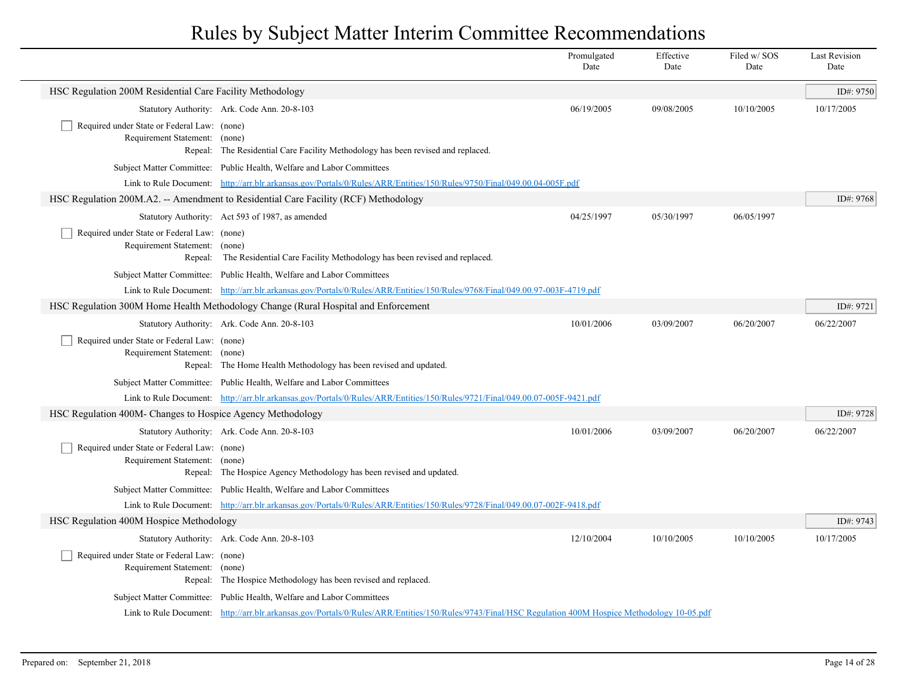|                                                                                         |                                                                                                                                                        | Promulgated<br>Date | Effective<br>Date | Filed w/SOS<br>Date | <b>Last Revision</b><br>Date |
|-----------------------------------------------------------------------------------------|--------------------------------------------------------------------------------------------------------------------------------------------------------|---------------------|-------------------|---------------------|------------------------------|
| HSC Regulation 200M Residential Care Facility Methodology                               |                                                                                                                                                        |                     |                   |                     | ID#: 9750                    |
|                                                                                         | Statutory Authority: Ark. Code Ann. 20-8-103                                                                                                           | 06/19/2005          | 09/08/2005        | 10/10/2005          | 10/17/2005                   |
| Required under State or Federal Law: (none)<br>Requirement Statement: (none)            | Repeal: The Residential Care Facility Methodology has been revised and replaced.                                                                       |                     |                   |                     |                              |
|                                                                                         | Subject Matter Committee: Public Health, Welfare and Labor Committees                                                                                  |                     |                   |                     |                              |
|                                                                                         | Link to Rule Document: http://arr.blr.arkansas.gov/Portals/0/Rules/ARR/Entities/150/Rules/9750/Final/049.00.04-005F.pdf                                |                     |                   |                     |                              |
|                                                                                         | HSC Regulation 200M.A2. -- Amendment to Residential Care Facility (RCF) Methodology                                                                    |                     |                   |                     | ID#: 9768                    |
|                                                                                         | Statutory Authority: Act 593 of 1987, as amended                                                                                                       | 04/25/1997          | 05/30/1997        | 06/05/1997          |                              |
| Required under State or Federal Law: (none)<br>Requirement Statement: (none)<br>Repeal: | The Residential Care Facility Methodology has been revised and replaced.                                                                               |                     |                   |                     |                              |
|                                                                                         | Subject Matter Committee: Public Health, Welfare and Labor Committees                                                                                  |                     |                   |                     |                              |
|                                                                                         | Link to Rule Document: http://arr.blr.arkansas.gov/Portals/0/Rules/ARR/Entities/150/Rules/9768/Final/049.00.97-003F-4719.pdf                           |                     |                   |                     |                              |
|                                                                                         | HSC Regulation 300M Home Health Methodology Change (Rural Hospital and Enforcement                                                                     |                     |                   |                     | ID#: 9721                    |
|                                                                                         | Statutory Authority: Ark. Code Ann. 20-8-103                                                                                                           | 10/01/2006          | 03/09/2007        | 06/20/2007          | 06/22/2007                   |
| Required under State or Federal Law: (none)<br>Requirement Statement: (none)            | Repeal: The Home Health Methodology has been revised and updated.                                                                                      |                     |                   |                     |                              |
|                                                                                         | Subject Matter Committee: Public Health, Welfare and Labor Committees                                                                                  |                     |                   |                     |                              |
|                                                                                         | Link to Rule Document: http://arr.blr.arkansas.gov/Portals/0/Rules/ARR/Entities/150/Rules/9721/Final/049.00.07-005F-9421.pdf                           |                     |                   |                     |                              |
| HSC Regulation 400M- Changes to Hospice Agency Methodology                              |                                                                                                                                                        |                     |                   |                     | ID#: 9728                    |
|                                                                                         | Statutory Authority: Ark. Code Ann. 20-8-103                                                                                                           | 10/01/2006          | 03/09/2007        | 06/20/2007          | 06/22/2007                   |
| Required under State or Federal Law: (none)<br>Requirement Statement: (none)            | Repeal: The Hospice Agency Methodology has been revised and updated.                                                                                   |                     |                   |                     |                              |
|                                                                                         | Subject Matter Committee: Public Health, Welfare and Labor Committees                                                                                  |                     |                   |                     |                              |
|                                                                                         | Link to Rule Document: http://arr.blr.arkansas.gov/Portals/0/Rules/ARR/Entities/150/Rules/9728/Final/049.00.07-002F-9418.pdf                           |                     |                   |                     |                              |
| HSC Regulation 400M Hospice Methodology                                                 |                                                                                                                                                        |                     |                   |                     | ID#: 9743                    |
|                                                                                         | Statutory Authority: Ark. Code Ann. 20-8-103                                                                                                           | 12/10/2004          | 10/10/2005        | 10/10/2005          | 10/17/2005                   |
| Required under State or Federal Law: (none)<br>Requirement Statement: (none)            | Repeal: The Hospice Methodology has been revised and replaced.                                                                                         |                     |                   |                     |                              |
|                                                                                         | Subject Matter Committee: Public Health, Welfare and Labor Committees                                                                                  |                     |                   |                     |                              |
|                                                                                         | Link to Rule Document: http://arr.blr.arkansas.gov/Portals/0/Rules/ARR/Entities/150/Rules/9743/Final/HSC Regulation 400M Hospice Methodology 10-05.pdf |                     |                   |                     |                              |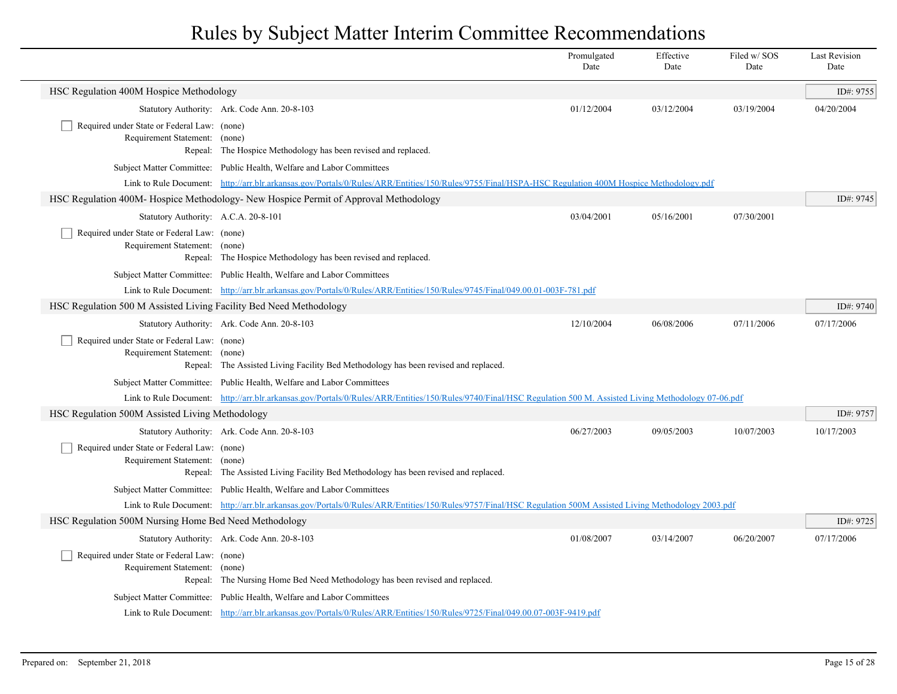|                                                                              |                                                                                                                                                                  | Promulgated<br>Date | Effective<br>Date | Filed w/SOS<br>Date | <b>Last Revision</b><br>Date |
|------------------------------------------------------------------------------|------------------------------------------------------------------------------------------------------------------------------------------------------------------|---------------------|-------------------|---------------------|------------------------------|
| HSC Regulation 400M Hospice Methodology                                      |                                                                                                                                                                  |                     |                   |                     | ID#: 9755                    |
|                                                                              | Statutory Authority: Ark. Code Ann. 20-8-103                                                                                                                     | 01/12/2004          | 03/12/2004        | 03/19/2004          | 04/20/2004                   |
| Required under State or Federal Law: (none)<br>Requirement Statement: (none) | Repeal: The Hospice Methodology has been revised and replaced.                                                                                                   |                     |                   |                     |                              |
|                                                                              | Subject Matter Committee: Public Health, Welfare and Labor Committees                                                                                            |                     |                   |                     |                              |
|                                                                              | Link to Rule Document: http://arr.blr.arkansas.gov/Portals/0/Rules/ARR/Entities/150/Rules/9755/Final/HSPA-HSC Regulation 400M Hospice Methodology.pdf            |                     |                   |                     |                              |
|                                                                              | HSC Regulation 400M- Hospice Methodology- New Hospice Permit of Approval Methodology                                                                             |                     |                   |                     | ID#: 9745                    |
| Statutory Authority: A.C.A. 20-8-101                                         |                                                                                                                                                                  | 03/04/2001          | 05/16/2001        | 07/30/2001          |                              |
| Required under State or Federal Law: (none)<br>Requirement Statement: (none) | Repeal: The Hospice Methodology has been revised and replaced.                                                                                                   |                     |                   |                     |                              |
|                                                                              | Subject Matter Committee: Public Health, Welfare and Labor Committees                                                                                            |                     |                   |                     |                              |
|                                                                              | Link to Rule Document: http://arr.blr.arkansas.gov/Portals/0/Rules/ARR/Entities/150/Rules/9745/Final/049.00.01-003F-781.pdf                                      |                     |                   |                     |                              |
| HSC Regulation 500 M Assisted Living Facility Bed Need Methodology           |                                                                                                                                                                  |                     |                   |                     | ID#: 9740                    |
|                                                                              | Statutory Authority: Ark. Code Ann. 20-8-103                                                                                                                     | 12/10/2004          | 06/08/2006        | 07/11/2006          | 07/17/2006                   |
| Required under State or Federal Law: (none)<br>Requirement Statement: (none) | Repeal: The Assisted Living Facility Bed Methodology has been revised and replaced.                                                                              |                     |                   |                     |                              |
|                                                                              | Subject Matter Committee: Public Health, Welfare and Labor Committees                                                                                            |                     |                   |                     |                              |
|                                                                              | Link to Rule Document: http://arr.blr.arkansas.gov/Portals/0/Rules/ARR/Entities/150/Rules/9740/Final/HSC Regulation 500 M. Assisted Living Methodology 07-06.pdf |                     |                   |                     |                              |
| HSC Regulation 500M Assisted Living Methodology                              |                                                                                                                                                                  |                     |                   |                     | ID#: 9757                    |
|                                                                              | Statutory Authority: Ark. Code Ann. 20-8-103                                                                                                                     | 06/27/2003          | 09/05/2003        | 10/07/2003          | 10/17/2003                   |
| Required under State or Federal Law: (none)<br>Requirement Statement: (none) | Repeal: The Assisted Living Facility Bed Methodology has been revised and replaced.                                                                              |                     |                   |                     |                              |
|                                                                              | Subject Matter Committee: Public Health, Welfare and Labor Committees                                                                                            |                     |                   |                     |                              |
|                                                                              | Link to Rule Document: http://arr.blr.arkansas.gov/Portals/0/Rules/ARR/Entities/150/Rules/9757/Final/HSC Regulation 500M Assisted Living Methodology 2003.pdf    |                     |                   |                     |                              |
| HSC Regulation 500M Nursing Home Bed Need Methodology                        |                                                                                                                                                                  |                     |                   |                     | ID#: 9725                    |
|                                                                              | Statutory Authority: Ark. Code Ann. 20-8-103                                                                                                                     | 01/08/2007          | 03/14/2007        | 06/20/2007          | 07/17/2006                   |
| Required under State or Federal Law: (none)<br>Requirement Statement: (none) | Repeal: The Nursing Home Bed Need Methodology has been revised and replaced.                                                                                     |                     |                   |                     |                              |
|                                                                              | Subject Matter Committee: Public Health, Welfare and Labor Committees                                                                                            |                     |                   |                     |                              |
|                                                                              | Link to Rule Document: http://arr.blr.arkansas.gov/Portals/0/Rules/ARR/Entities/150/Rules/9725/Final/049.00.07-003F-9419.pdf                                     |                     |                   |                     |                              |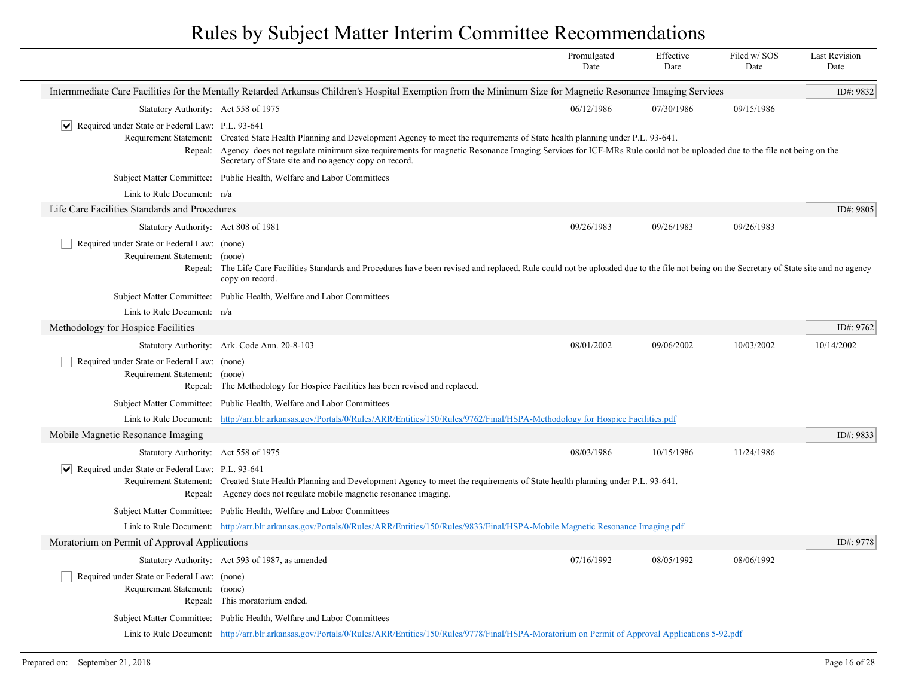|                                                                 |                                                                                                                                                                                                                                     | Promulgated<br>Date | Effective<br>Date | Filed w/SOS<br>Date | <b>Last Revision</b><br>Date |
|-----------------------------------------------------------------|-------------------------------------------------------------------------------------------------------------------------------------------------------------------------------------------------------------------------------------|---------------------|-------------------|---------------------|------------------------------|
|                                                                 | Intermmediate Care Facilities for the Mentally Retarded Arkansas Children's Hospital Exemption from the Minimum Size for Magnetic Resonance Imaging Services                                                                        |                     |                   |                     | ID#: 9832                    |
| Statutory Authority: Act 558 of 1975                            |                                                                                                                                                                                                                                     | 06/12/1986          | 07/30/1986        | 09/15/1986          |                              |
| $ \mathbf{v} $ Required under State or Federal Law: P.L. 93-641 |                                                                                                                                                                                                                                     |                     |                   |                     |                              |
|                                                                 | Requirement Statement: Created State Health Planning and Development Agency to meet the requirements of State health planning under P.L. 93-641.                                                                                    |                     |                   |                     |                              |
|                                                                 | Repeal: Agency does not regulate minimum size requirements for magnetic Resonance Imaging Services for ICF-MRs Rule could not be uploaded due to the file not being on the<br>Secretary of State site and no agency copy on record. |                     |                   |                     |                              |
|                                                                 | Subject Matter Committee: Public Health, Welfare and Labor Committees                                                                                                                                                               |                     |                   |                     |                              |
| Link to Rule Document: n/a                                      |                                                                                                                                                                                                                                     |                     |                   |                     |                              |
| Life Care Facilities Standards and Procedures                   |                                                                                                                                                                                                                                     |                     |                   |                     | ID#: 9805                    |
| Statutory Authority: Act 808 of 1981                            |                                                                                                                                                                                                                                     | 09/26/1983          | 09/26/1983        | 09/26/1983          |                              |
| Required under State or Federal Law: (none)                     |                                                                                                                                                                                                                                     |                     |                   |                     |                              |
| Requirement Statement: (none)                                   |                                                                                                                                                                                                                                     |                     |                   |                     |                              |
|                                                                 | Repeal: The Life Care Facilities Standards and Procedures have been revised and replaced. Rule could not be uploaded due to the file not being on the Secretary of State site and no agency<br>copy on record.                      |                     |                   |                     |                              |
|                                                                 | Subject Matter Committee: Public Health, Welfare and Labor Committees                                                                                                                                                               |                     |                   |                     |                              |
| Link to Rule Document: n/a                                      |                                                                                                                                                                                                                                     |                     |                   |                     |                              |
| Methodology for Hospice Facilities                              |                                                                                                                                                                                                                                     |                     |                   |                     | ID#: 9762                    |
|                                                                 | Statutory Authority: Ark. Code Ann. 20-8-103                                                                                                                                                                                        | 08/01/2002          | 09/06/2002        | 10/03/2002          | 10/14/2002                   |
| Required under State or Federal Law: (none)                     |                                                                                                                                                                                                                                     |                     |                   |                     |                              |
| Requirement Statement:                                          | (none)                                                                                                                                                                                                                              |                     |                   |                     |                              |
|                                                                 | Repeal: The Methodology for Hospice Facilities has been revised and replaced.                                                                                                                                                       |                     |                   |                     |                              |
|                                                                 | Subject Matter Committee: Public Health, Welfare and Labor Committees                                                                                                                                                               |                     |                   |                     |                              |
| Link to Rule Document:                                          | http://arr.blr.arkansas.gov/Portals/0/Rules/ARR/Entities/150/Rules/9762/Final/HSPA-Methodology for Hospice Facilities.pdf                                                                                                           |                     |                   |                     |                              |
| Mobile Magnetic Resonance Imaging                               |                                                                                                                                                                                                                                     |                     |                   |                     | ID#: 9833                    |
| Statutory Authority: Act 558 of 1975                            |                                                                                                                                                                                                                                     | 08/03/1986          | 10/15/1986        | 11/24/1986          |                              |
| $ \vee $ Required under State or Federal Law: P.L. 93-641       |                                                                                                                                                                                                                                     |                     |                   |                     |                              |
|                                                                 | Requirement Statement: Created State Health Planning and Development Agency to meet the requirements of State health planning under P.L. 93-641.                                                                                    |                     |                   |                     |                              |
|                                                                 | Repeal: Agency does not regulate mobile magnetic resonance imaging.                                                                                                                                                                 |                     |                   |                     |                              |
|                                                                 | Subject Matter Committee: Public Health, Welfare and Labor Committees                                                                                                                                                               |                     |                   |                     |                              |
|                                                                 | Link to Rule Document: http://arr.blr.arkansas.gov/Portals/0/Rules/ARR/Entities/150/Rules/9833/Final/HSPA-Mobile Magnetic Resonance Imaging.pdf                                                                                     |                     |                   |                     |                              |
| Moratorium on Permit of Approval Applications                   |                                                                                                                                                                                                                                     |                     |                   |                     | ID#: 9778                    |
|                                                                 | Statutory Authority: Act 593 of 1987, as amended                                                                                                                                                                                    | 07/16/1992          | 08/05/1992        | 08/06/1992          |                              |
| Required under State or Federal Law: (none)                     |                                                                                                                                                                                                                                     |                     |                   |                     |                              |
| Requirement Statement: (none)                                   |                                                                                                                                                                                                                                     |                     |                   |                     |                              |
|                                                                 | Repeal: This moratorium ended.                                                                                                                                                                                                      |                     |                   |                     |                              |
|                                                                 | Subject Matter Committee: Public Health, Welfare and Labor Committees                                                                                                                                                               |                     |                   |                     |                              |
|                                                                 | Link to Rule Document: http://arr.blr.arkansas.gov/Portals/0/Rules/ARR/Entities/150/Rules/9778/Final/HSPA-Moratorium on Permit of Approval Applications 5-92.pdf                                                                    |                     |                   |                     |                              |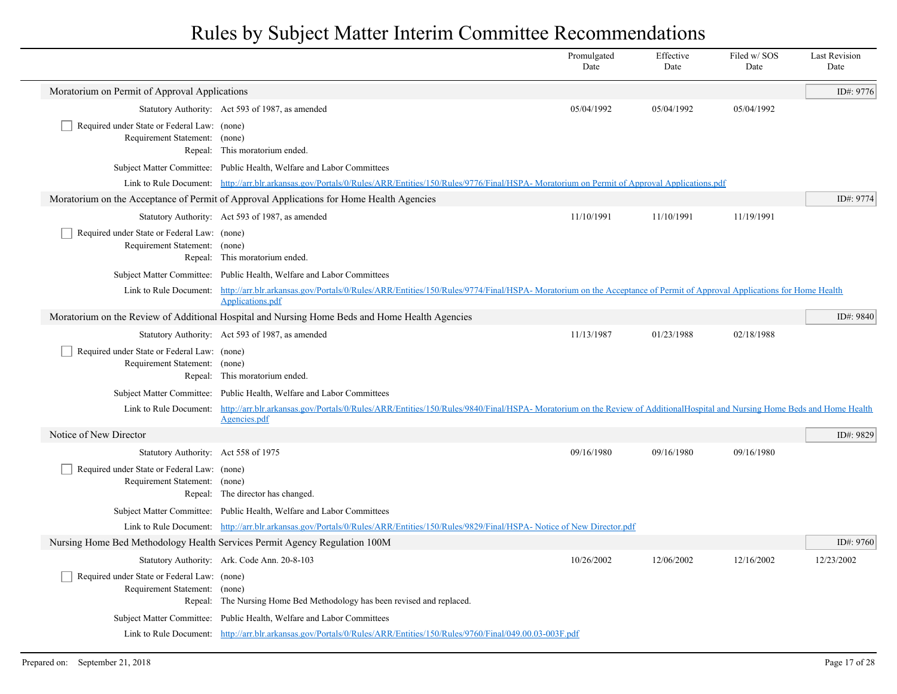|                                                                              |                                                                                                                                                                                                                | Promulgated<br>Date | Effective<br>Date | Filed w/SOS<br>Date | <b>Last Revision</b><br>Date |
|------------------------------------------------------------------------------|----------------------------------------------------------------------------------------------------------------------------------------------------------------------------------------------------------------|---------------------|-------------------|---------------------|------------------------------|
| Moratorium on Permit of Approval Applications                                |                                                                                                                                                                                                                |                     |                   |                     | ID#: 9776                    |
|                                                                              | Statutory Authority: Act 593 of 1987, as amended                                                                                                                                                               | 05/04/1992          | 05/04/1992        | 05/04/1992          |                              |
| Required under State or Federal Law: (none)<br>Requirement Statement: (none) | Repeal: This moratorium ended.                                                                                                                                                                                 |                     |                   |                     |                              |
|                                                                              | Subject Matter Committee: Public Health, Welfare and Labor Committees                                                                                                                                          |                     |                   |                     |                              |
|                                                                              | Link to Rule Document: http://arr.blr.arkansas.gov/Portals/0/Rules/ARR/Entities/150/Rules/9776/Final/HSPA-Moratorium on Permit of Approval Applications.pdf                                                    |                     |                   |                     |                              |
|                                                                              | Moratorium on the Acceptance of Permit of Approval Applications for Home Health Agencies                                                                                                                       |                     |                   |                     | ID#: 9774                    |
|                                                                              | Statutory Authority: Act 593 of 1987, as amended                                                                                                                                                               | 11/10/1991          | 11/10/1991        | 11/19/1991          |                              |
| Required under State or Federal Law: (none)<br>Requirement Statement: (none) | Repeal: This moratorium ended.                                                                                                                                                                                 |                     |                   |                     |                              |
|                                                                              | Subject Matter Committee: Public Health, Welfare and Labor Committees                                                                                                                                          |                     |                   |                     |                              |
|                                                                              | Link to Rule Document: http://arr.blr.arkansas.gov/Portals/0/Rules/ARR/Entities/150/Rules/9774/Final/HSPA-Moratorium on the Acceptance of Permit of Approval Applications for Home Health<br>Applications.pdf  |                     |                   |                     |                              |
|                                                                              | Moratorium on the Review of Additional Hospital and Nursing Home Beds and Home Health Agencies                                                                                                                 |                     |                   |                     | ID#: 9840                    |
|                                                                              | Statutory Authority: Act 593 of 1987, as amended                                                                                                                                                               | 11/13/1987          | 01/23/1988        | 02/18/1988          |                              |
| Required under State or Federal Law: (none)<br>Requirement Statement: (none) | Repeal: This moratorium ended.                                                                                                                                                                                 |                     |                   |                     |                              |
|                                                                              | Subject Matter Committee: Public Health, Welfare and Labor Committees                                                                                                                                          |                     |                   |                     |                              |
|                                                                              | Link to Rule Document: http://arr.blr.arkansas.gov/Portals/0/Rules/ARR/Entities/150/Rules/9840/Final/HSPA-Moratorium on the Review of AdditionalHospital and Nursing Home Beds and Home Health<br>Agencies.pdf |                     |                   |                     |                              |
| Notice of New Director                                                       |                                                                                                                                                                                                                |                     |                   |                     | ID#: 9829                    |
| Statutory Authority: Act 558 of 1975                                         |                                                                                                                                                                                                                | 09/16/1980          | 09/16/1980        | 09/16/1980          |                              |
| Required under State or Federal Law: (none)<br>Requirement Statement: (none) | Repeal: The director has changed.                                                                                                                                                                              |                     |                   |                     |                              |
|                                                                              | Subject Matter Committee: Public Health, Welfare and Labor Committees                                                                                                                                          |                     |                   |                     |                              |
|                                                                              | Link to Rule Document: http://arr.blr.arkansas.gov/Portals/0/Rules/ARR/Entities/150/Rules/9829/Final/HSPA-Notice of New Director.pdf                                                                           |                     |                   |                     |                              |
|                                                                              | Nursing Home Bed Methodology Health Services Permit Agency Regulation 100M                                                                                                                                     |                     |                   |                     | ID#: 9760                    |
|                                                                              | Statutory Authority: Ark. Code Ann. 20-8-103                                                                                                                                                                   | 10/26/2002          | 12/06/2002        | 12/16/2002          | 12/23/2002                   |
| Required under State or Federal Law: (none)<br>Requirement Statement: (none) | Repeal: The Nursing Home Bed Methodology has been revised and replaced.                                                                                                                                        |                     |                   |                     |                              |
|                                                                              | Subject Matter Committee: Public Health, Welfare and Labor Committees                                                                                                                                          |                     |                   |                     |                              |
|                                                                              | Link to Rule Document: http://arr.blr.arkansas.gov/Portals/0/Rules/ARR/Entities/150/Rules/9760/Final/049.00.03-003F.pdf                                                                                        |                     |                   |                     |                              |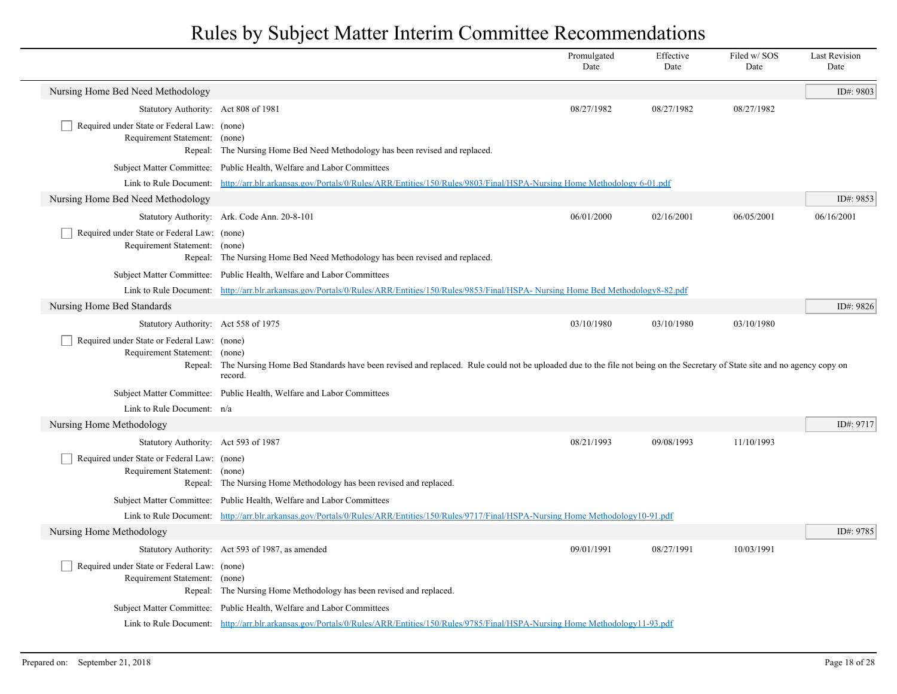|                                                                              |                                                                                                                                                                                             | Promulgated<br>Date | Effective<br>Date | Filed w/SOS<br>Date | <b>Last Revision</b><br>Date |
|------------------------------------------------------------------------------|---------------------------------------------------------------------------------------------------------------------------------------------------------------------------------------------|---------------------|-------------------|---------------------|------------------------------|
| Nursing Home Bed Need Methodology                                            |                                                                                                                                                                                             |                     |                   |                     | ID#: 9803                    |
| Statutory Authority: Act 808 of 1981                                         |                                                                                                                                                                                             | 08/27/1982          | 08/27/1982        | 08/27/1982          |                              |
| Required under State or Federal Law: (none)<br>Requirement Statement: (none) | Repeal: The Nursing Home Bed Need Methodology has been revised and replaced.                                                                                                                |                     |                   |                     |                              |
|                                                                              | Subject Matter Committee: Public Health, Welfare and Labor Committees                                                                                                                       |                     |                   |                     |                              |
|                                                                              | Link to Rule Document: http://arr.blr.arkansas.gov/Portals/0/Rules/ARR/Entities/150/Rules/9803/Final/HSPA-Nursing Home Methodology 6-01.pdf                                                 |                     |                   |                     |                              |
| Nursing Home Bed Need Methodology                                            |                                                                                                                                                                                             |                     |                   |                     | ID#: 9853                    |
|                                                                              | Statutory Authority: Ark. Code Ann. 20-8-101                                                                                                                                                | 06/01/2000          | 02/16/2001        | 06/05/2001          | 06/16/2001                   |
| Required under State or Federal Law: (none)<br>Requirement Statement: (none) | Repeal: The Nursing Home Bed Need Methodology has been revised and replaced.                                                                                                                |                     |                   |                     |                              |
|                                                                              | Subject Matter Committee: Public Health, Welfare and Labor Committees                                                                                                                       |                     |                   |                     |                              |
|                                                                              | Link to Rule Document: http://arr.blr.arkansas.gov/Portals/0/Rules/ARR/Entities/150/Rules/9853/Final/HSPA-Nursing Home Bed Methodology8-82.pdf                                              |                     |                   |                     |                              |
| Nursing Home Bed Standards                                                   |                                                                                                                                                                                             |                     |                   |                     | ID#: 9826                    |
| Statutory Authority: Act 558 of 1975                                         |                                                                                                                                                                                             | 03/10/1980          | 03/10/1980        | 03/10/1980          |                              |
| Required under State or Federal Law: (none)<br>Requirement Statement: (none) | Repeal: The Nursing Home Bed Standards have been revised and replaced. Rule could not be uploaded due to the file not being on the Secretary of State site and no agency copy on<br>record. |                     |                   |                     |                              |
|                                                                              | Subject Matter Committee: Public Health, Welfare and Labor Committees                                                                                                                       |                     |                   |                     |                              |
| Link to Rule Document: n/a                                                   |                                                                                                                                                                                             |                     |                   |                     |                              |
| Nursing Home Methodology                                                     |                                                                                                                                                                                             |                     |                   |                     | ID#: 9717                    |
| Statutory Authority: Act 593 of 1987                                         |                                                                                                                                                                                             | 08/21/1993          | 09/08/1993        | 11/10/1993          |                              |
| Required under State or Federal Law: (none)<br>Requirement Statement: (none) | Repeal: The Nursing Home Methodology has been revised and replaced.                                                                                                                         |                     |                   |                     |                              |
|                                                                              | Subject Matter Committee: Public Health, Welfare and Labor Committees                                                                                                                       |                     |                   |                     |                              |
|                                                                              | Link to Rule Document: http://arr.blr.arkansas.gov/Portals/0/Rules/ARR/Entities/150/Rules/9717/Final/HSPA-Nursing Home Methodology10-91.pdf                                                 |                     |                   |                     |                              |
| Nursing Home Methodology                                                     |                                                                                                                                                                                             |                     |                   |                     | ID#: 9785                    |
|                                                                              | Statutory Authority: Act 593 of 1987, as amended                                                                                                                                            | 09/01/1991          | 08/27/1991        | 10/03/1991          |                              |
| Required under State or Federal Law: (none)<br>Requirement Statement: (none) | Repeal: The Nursing Home Methodology has been revised and replaced.                                                                                                                         |                     |                   |                     |                              |
|                                                                              | Subject Matter Committee: Public Health, Welfare and Labor Committees                                                                                                                       |                     |                   |                     |                              |
|                                                                              | Link to Rule Document: http://arr.blr.arkansas.gov/Portals/0/Rules/ARR/Entities/150/Rules/9785/Final/HSPA-Nursing Home Methodology11-93.pdf                                                 |                     |                   |                     |                              |
|                                                                              |                                                                                                                                                                                             |                     |                   |                     |                              |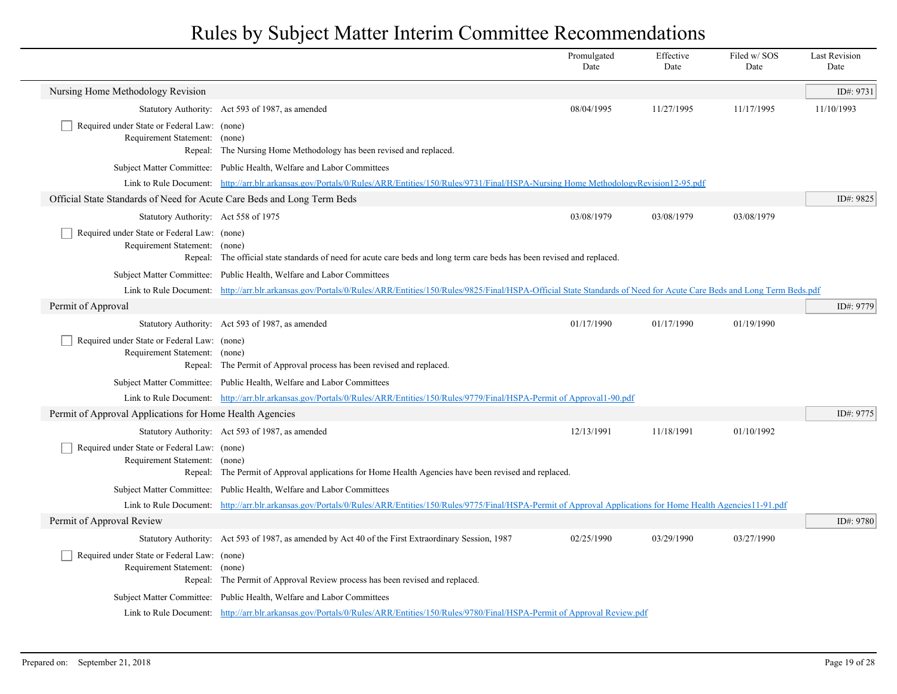|                                                                              |                                                                                                                                                                                       | Promulgated<br>Date | Effective<br>Date | Filed w/SOS<br>Date | <b>Last Revision</b><br>Date |
|------------------------------------------------------------------------------|---------------------------------------------------------------------------------------------------------------------------------------------------------------------------------------|---------------------|-------------------|---------------------|------------------------------|
| Nursing Home Methodology Revision                                            |                                                                                                                                                                                       |                     |                   |                     | ID#: 9731                    |
|                                                                              | Statutory Authority: Act 593 of 1987, as amended                                                                                                                                      | 08/04/1995          | 11/27/1995        | 11/17/1995          | 11/10/1993                   |
| Required under State or Federal Law: (none)<br>Requirement Statement: (none) | Repeal: The Nursing Home Methodology has been revised and replaced.                                                                                                                   |                     |                   |                     |                              |
|                                                                              | Subject Matter Committee: Public Health, Welfare and Labor Committees                                                                                                                 |                     |                   |                     |                              |
|                                                                              | Link to Rule Document: http://arr.blr.arkansas.gov/Portals/0/Rules/ARR/Entities/150/Rules/9731/Final/HSPA-Nursing Home MethodologyRevision12-95.pdf                                   |                     |                   |                     |                              |
| Official State Standards of Need for Acute Care Beds and Long Term Beds      |                                                                                                                                                                                       |                     |                   |                     | ID#: 9825                    |
| Statutory Authority: Act 558 of 1975                                         |                                                                                                                                                                                       | 03/08/1979          | 03/08/1979        | 03/08/1979          |                              |
| Required under State or Federal Law: (none)<br>Requirement Statement: (none) | Repeal: The official state standards of need for acute care beds and long term care beds has been revised and replaced.                                                               |                     |                   |                     |                              |
|                                                                              | Subject Matter Committee: Public Health, Welfare and Labor Committees                                                                                                                 |                     |                   |                     |                              |
|                                                                              | Link to Rule Document: http://arr.blr.arkansas.gov/Portals/0/Rules/ARR/Entities/150/Rules/9825/Final/HSPA-Official State Standards of Need for Acute Care Beds and Long Term Beds.pdf |                     |                   |                     |                              |
| Permit of Approval                                                           |                                                                                                                                                                                       |                     |                   |                     | ID#: 9779                    |
|                                                                              | Statutory Authority: Act 593 of 1987, as amended                                                                                                                                      | 01/17/1990          | 01/17/1990        | 01/19/1990          |                              |
| Required under State or Federal Law: (none)<br>Requirement Statement: (none) | Repeal: The Permit of Approval process has been revised and replaced.                                                                                                                 |                     |                   |                     |                              |
|                                                                              | Subject Matter Committee: Public Health, Welfare and Labor Committees                                                                                                                 |                     |                   |                     |                              |
|                                                                              | Link to Rule Document: http://arr.blr.arkansas.gov/Portals/0/Rules/ARR/Entities/150/Rules/9779/Final/HSPA-Permit of Approval1-90.pdf                                                  |                     |                   |                     |                              |
| Permit of Approval Applications for Home Health Agencies                     |                                                                                                                                                                                       |                     |                   |                     | ID#: 9775                    |
|                                                                              | Statutory Authority: Act 593 of 1987, as amended                                                                                                                                      | 12/13/1991          | 11/18/1991        | 01/10/1992          |                              |
| Required under State or Federal Law: (none)<br>Requirement Statement: (none) | Repeal: The Permit of Approval applications for Home Health Agencies have been revised and replaced.                                                                                  |                     |                   |                     |                              |
|                                                                              | Subject Matter Committee: Public Health, Welfare and Labor Committees                                                                                                                 |                     |                   |                     |                              |
|                                                                              | Link to Rule Document: http://arr.blr.arkansas.gov/Portals/0/Rules/ARR/Entities/150/Rules/9775/Final/HSPA-Permit of Approval Applications for Home Health Agencies11-91.pdf           |                     |                   |                     |                              |
| Permit of Approval Review                                                    |                                                                                                                                                                                       |                     |                   |                     | ID#: 9780                    |
|                                                                              | Statutory Authority: Act 593 of 1987, as amended by Act 40 of the First Extraordinary Session, 1987                                                                                   | 02/25/1990          | 03/29/1990        | 03/27/1990          |                              |
| Required under State or Federal Law: (none)<br>Requirement Statement: (none) | Repeal: The Permit of Approval Review process has been revised and replaced.                                                                                                          |                     |                   |                     |                              |
|                                                                              | Subject Matter Committee: Public Health, Welfare and Labor Committees                                                                                                                 |                     |                   |                     |                              |
|                                                                              | Link to Rule Document: http://arr.blr.arkansas.gov/Portals/0/Rules/ARR/Entities/150/Rules/9780/Final/HSPA-Permit of Approval Review.pdf                                               |                     |                   |                     |                              |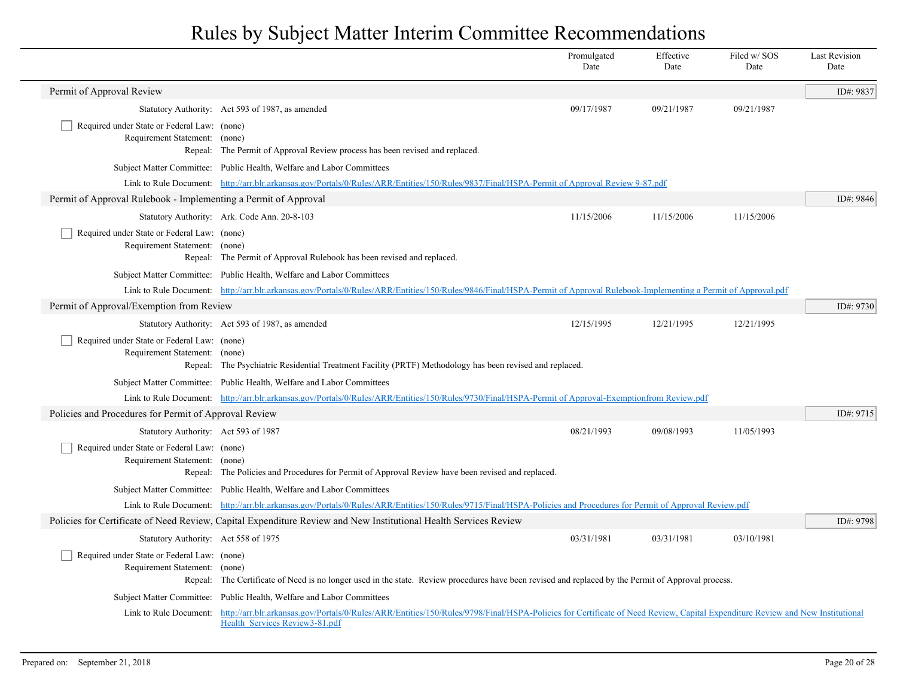|                                                                              |                                                                                                                                                                                                                                       | Promulgated<br>Date | Effective<br>Date | Filed w/SOS<br>Date | <b>Last Revision</b><br>Date |
|------------------------------------------------------------------------------|---------------------------------------------------------------------------------------------------------------------------------------------------------------------------------------------------------------------------------------|---------------------|-------------------|---------------------|------------------------------|
| Permit of Approval Review                                                    |                                                                                                                                                                                                                                       |                     |                   |                     | ID#: 9837                    |
|                                                                              | Statutory Authority: Act 593 of 1987, as amended                                                                                                                                                                                      | 09/17/1987          | 09/21/1987        | 09/21/1987          |                              |
| Required under State or Federal Law: (none)                                  |                                                                                                                                                                                                                                       |                     |                   |                     |                              |
| Requirement Statement: (none)                                                | Repeal: The Permit of Approval Review process has been revised and replaced.                                                                                                                                                          |                     |                   |                     |                              |
|                                                                              | Subject Matter Committee: Public Health, Welfare and Labor Committees                                                                                                                                                                 |                     |                   |                     |                              |
|                                                                              | Link to Rule Document: http://arr.blr.arkansas.gov/Portals/0/Rules/ARR/Entities/150/Rules/9837/Final/HSPA-Permit of Approval Review 9-87.pdf                                                                                          |                     |                   |                     |                              |
| Permit of Approval Rulebook - Implementing a Permit of Approval              |                                                                                                                                                                                                                                       |                     |                   |                     | ID#: 9846                    |
|                                                                              | Statutory Authority: Ark. Code Ann. 20-8-103                                                                                                                                                                                          | 11/15/2006          | 11/15/2006        | 11/15/2006          |                              |
| Required under State or Federal Law: (none)                                  |                                                                                                                                                                                                                                       |                     |                   |                     |                              |
| Requirement Statement: (none)                                                |                                                                                                                                                                                                                                       |                     |                   |                     |                              |
|                                                                              | Repeal: The Permit of Approval Rulebook has been revised and replaced.                                                                                                                                                                |                     |                   |                     |                              |
|                                                                              | Subject Matter Committee: Public Health, Welfare and Labor Committees                                                                                                                                                                 |                     |                   |                     |                              |
|                                                                              | Link to Rule Document: http://arr.blr.arkansas.gov/Portals/0/Rules/ARR/Entities/150/Rules/9846/Final/HSPA-Permit of Approval Rulebook-Implementing a Permit of Approval.pdf                                                           |                     |                   |                     |                              |
| Permit of Approval/Exemption from Review                                     |                                                                                                                                                                                                                                       |                     |                   |                     | ID#: 9730                    |
|                                                                              | Statutory Authority: Act 593 of 1987, as amended                                                                                                                                                                                      | 12/15/1995          | 12/21/1995        | 12/21/1995          |                              |
| Required under State or Federal Law: (none)<br>Requirement Statement: (none) | Repeal: The Psychiatric Residential Treatment Facility (PRTF) Methodology has been revised and replaced.                                                                                                                              |                     |                   |                     |                              |
|                                                                              | Subject Matter Committee: Public Health, Welfare and Labor Committees                                                                                                                                                                 |                     |                   |                     |                              |
|                                                                              | Link to Rule Document: http://arr.blr.arkansas.gov/Portals/0/Rules/ARR/Entities/150/Rules/9730/Final/HSPA-Permit of Approval-Exemptionfrom Review.pdf                                                                                 |                     |                   |                     |                              |
| Policies and Procedures for Permit of Approval Review                        |                                                                                                                                                                                                                                       |                     |                   |                     | ID#: 9715                    |
|                                                                              | Statutory Authority: Act 593 of 1987                                                                                                                                                                                                  | 08/21/1993          | 09/08/1993        | 11/05/1993          |                              |
| Required under State or Federal Law: (none)<br>Requirement Statement: (none) | Repeal: The Policies and Procedures for Permit of Approval Review have been revised and replaced.                                                                                                                                     |                     |                   |                     |                              |
|                                                                              | Subject Matter Committee: Public Health, Welfare and Labor Committees                                                                                                                                                                 |                     |                   |                     |                              |
|                                                                              | Link to Rule Document: http://arr.blr.arkansas.gov/Portals/0/Rules/ARR/Entities/150/Rules/9715/Final/HSPA-Policies and Procedures for Permit of Approval Review.pdf                                                                   |                     |                   |                     |                              |
|                                                                              | Policies for Certificate of Need Review, Capital Expenditure Review and New Institutional Health Services Review                                                                                                                      |                     |                   |                     | ID#: 9798                    |
|                                                                              | Statutory Authority: Act 558 of 1975                                                                                                                                                                                                  | 03/31/1981          | 03/31/1981        | 03/10/1981          |                              |
| Required under State or Federal Law: (none)<br>Requirement Statement: (none) | Repeal: The Certificate of Need is no longer used in the state. Review procedures have been revised and replaced by the Permit of Approval process.                                                                                   |                     |                   |                     |                              |
|                                                                              | Subject Matter Committee: Public Health, Welfare and Labor Committees                                                                                                                                                                 |                     |                   |                     |                              |
|                                                                              | Link to Rule Document: http://arr.blr.arkansas.gov/Portals/0/Rules/ARR/Entities/150/Rules/9798/Final/HSPA-Policies for Certificate of Need Review, Capital Expenditure Review and New Institutional<br>Health Services Review3-81.pdf |                     |                   |                     |                              |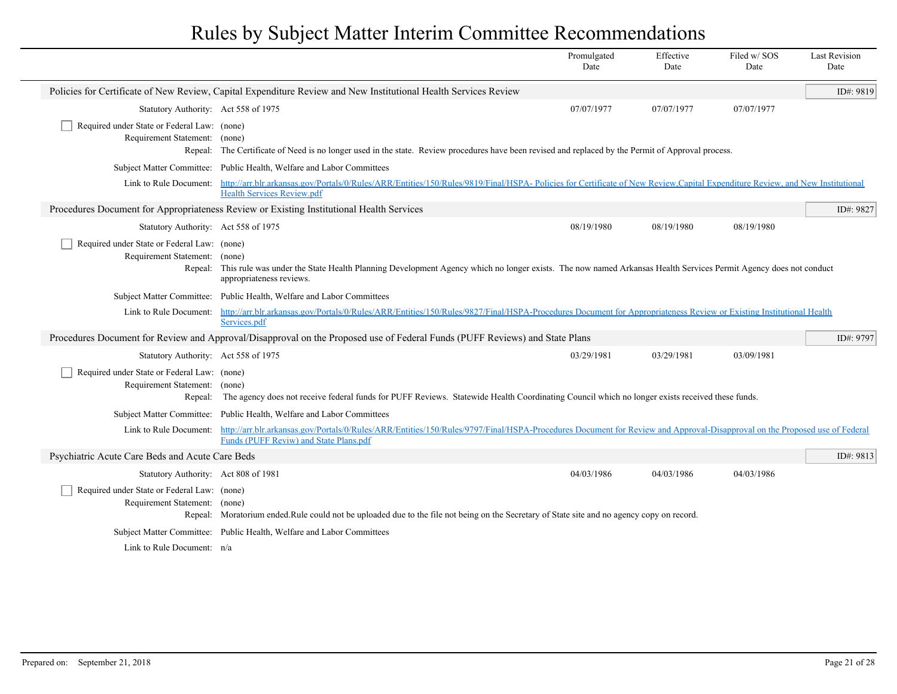|                                                                                         |                                                                                                                                                                                                                     | Promulgated<br>Date | Effective<br>Date | Filed w/SOS<br>Date | <b>Last Revision</b><br>Date |
|-----------------------------------------------------------------------------------------|---------------------------------------------------------------------------------------------------------------------------------------------------------------------------------------------------------------------|---------------------|-------------------|---------------------|------------------------------|
|                                                                                         | Policies for Certificate of New Review, Capital Expenditure Review and New Institutional Health Services Review                                                                                                     |                     |                   |                     | ID#: 9819                    |
| Statutory Authority: Act 558 of 1975                                                    |                                                                                                                                                                                                                     | 07/07/1977          | 07/07/1977        | 07/07/1977          |                              |
| Required under State or Federal Law: (none)<br>Requirement Statement: (none)            | Repeal: The Certificate of Need is no longer used in the state. Review procedures have been revised and replaced by the Permit of Approval process.                                                                 |                     |                   |                     |                              |
|                                                                                         | Subject Matter Committee: Public Health, Welfare and Labor Committees                                                                                                                                               |                     |                   |                     |                              |
| Link to Rule Document:                                                                  | http://arr.blr.arkansas.gov/Portals/0/Rules/ARR/Entities/150/Rules/9819/Final/HSPA-Policies for Certificate of New Review.Capital Expenditure Review, and New Institutional<br><b>Health Services Review.pdf</b>    |                     |                   |                     |                              |
|                                                                                         | Procedures Document for Appropriateness Review or Existing Institutional Health Services                                                                                                                            |                     |                   |                     | ID#: 9827                    |
| Statutory Authority: Act 558 of 1975                                                    |                                                                                                                                                                                                                     | 08/19/1980          | 08/19/1980        | 08/19/1980          |                              |
| Required under State or Federal Law: (none)<br>Requirement Statement: (none)            | Repeal: This rule was under the State Health Planning Development Agency which no longer exists. The now named Arkansas Health Services Permit Agency does not conduct<br>appropriateness reviews.                  |                     |                   |                     |                              |
|                                                                                         | Subject Matter Committee: Public Health, Welfare and Labor Committees                                                                                                                                               |                     |                   |                     |                              |
| Link to Rule Document:                                                                  | http://arr.blr.arkansas.gov/Portals/0/Rules/ARR/Entities/150/Rules/9827/Final/HSPA-Procedures Document for Appropriateness Review or Existing Institutional Health<br>Services.pdf                                  |                     |                   |                     |                              |
|                                                                                         | Procedures Document for Review and Approval/Disapproval on the Proposed use of Federal Funds (PUFF Reviews) and State Plans                                                                                         |                     |                   |                     | ID#: 9797                    |
| Statutory Authority: Act 558 of 1975                                                    |                                                                                                                                                                                                                     | 03/29/1981          | 03/29/1981        | 03/09/1981          |                              |
| Required under State or Federal Law: (none)<br>Requirement Statement: (none)<br>Repeal: | The agency does not receive federal funds for PUFF Reviews. Statewide Health Coordinating Council which no longer exists received these funds.                                                                      |                     |                   |                     |                              |
|                                                                                         | Subject Matter Committee: Public Health, Welfare and Labor Committees                                                                                                                                               |                     |                   |                     |                              |
| Link to Rule Document:                                                                  | http://arr.blr.arkansas.gov/Portals/0/Rules/ARR/Entities/150/Rules/9797/Final/HSPA-Procedures Document for Review and Approval-Disapproval on the Proposed use of Federal<br>Funds (PUFF Reviw) and State Plans.pdf |                     |                   |                     |                              |
| Psychiatric Acute Care Beds and Acute Care Beds                                         |                                                                                                                                                                                                                     |                     |                   |                     | ID#: 9813                    |
| Statutory Authority: Act 808 of 1981                                                    |                                                                                                                                                                                                                     | 04/03/1986          | 04/03/1986        | 04/03/1986          |                              |
| Required under State or Federal Law: (none)<br>Requirement Statement: (none)            | Repeal: Moratorium ended.Rule could not be uploaded due to the file not being on the Secretary of State site and no agency copy on record.                                                                          |                     |                   |                     |                              |
|                                                                                         | Subject Matter Committee: Public Health, Welfare and Labor Committees                                                                                                                                               |                     |                   |                     |                              |
| Link to Rule Document: n/a                                                              |                                                                                                                                                                                                                     |                     |                   |                     |                              |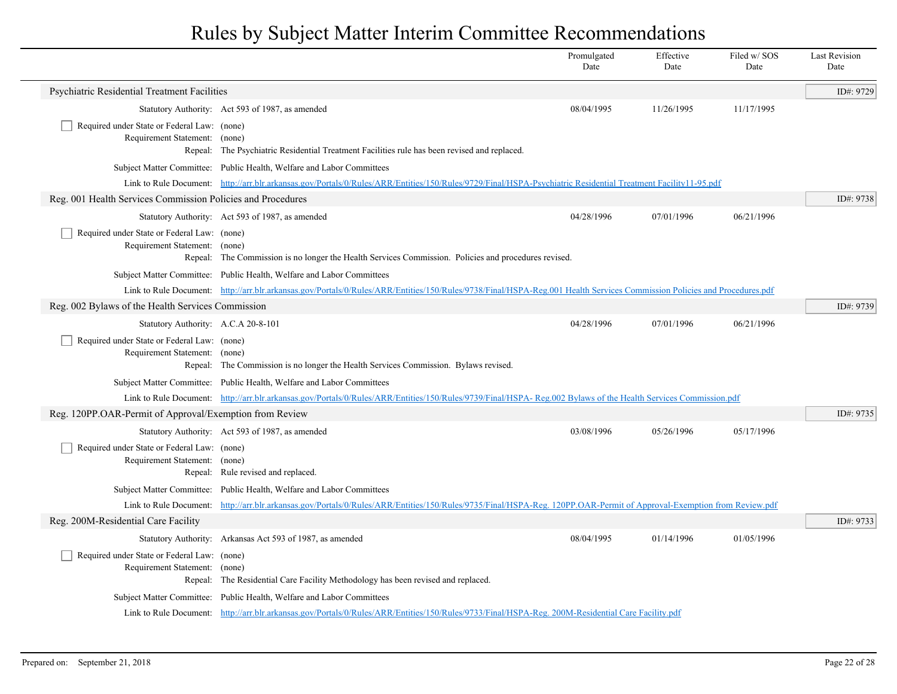|                                                                              |                                                                                                                                                                          | Promulgated<br>Date | Effective<br>Date | Filed w/SOS<br>Date | <b>Last Revision</b><br>Date |
|------------------------------------------------------------------------------|--------------------------------------------------------------------------------------------------------------------------------------------------------------------------|---------------------|-------------------|---------------------|------------------------------|
| Psychiatric Residential Treatment Facilities                                 |                                                                                                                                                                          |                     |                   |                     | ID#: 9729                    |
|                                                                              | Statutory Authority: Act 593 of 1987, as amended                                                                                                                         | 08/04/1995          | 11/26/1995        | 11/17/1995          |                              |
| Required under State or Federal Law: (none)<br>Requirement Statement: (none) | Repeal: The Psychiatric Residential Treatment Facilities rule has been revised and replaced.                                                                             |                     |                   |                     |                              |
|                                                                              | Subject Matter Committee: Public Health, Welfare and Labor Committees                                                                                                    |                     |                   |                     |                              |
|                                                                              | Link to Rule Document: http://arr.blr.arkansas.gov/Portals/0/Rules/ARR/Entities/150/Rules/9729/Final/HSPA-Psychiatric Residential Treatment Facility11-95.pdf            |                     |                   |                     |                              |
| Reg. 001 Health Services Commission Policies and Procedures                  |                                                                                                                                                                          |                     |                   |                     | ID#: 9738                    |
|                                                                              | Statutory Authority: Act 593 of 1987, as amended                                                                                                                         | 04/28/1996          | 07/01/1996        | 06/21/1996          |                              |
| Required under State or Federal Law: (none)<br>Requirement Statement: (none) | Repeal: The Commission is no longer the Health Services Commission. Policies and procedures revised.                                                                     |                     |                   |                     |                              |
|                                                                              | Subject Matter Committee: Public Health, Welfare and Labor Committees                                                                                                    |                     |                   |                     |                              |
|                                                                              | Link to Rule Document: http://arr.blr.arkansas.gov/Portals/0/Rules/ARR/Entities/150/Rules/9738/Final/HSPA-Reg.001 Health Services Commission Policies and Procedures.pdf |                     |                   |                     |                              |
| Reg. 002 Bylaws of the Health Services Commission                            |                                                                                                                                                                          |                     |                   |                     | ID#: 9739                    |
| Statutory Authority: A.C.A 20-8-101                                          |                                                                                                                                                                          | 04/28/1996          | 07/01/1996        | 06/21/1996          |                              |
| Required under State or Federal Law: (none)<br>Requirement Statement: (none) | Repeal: The Commission is no longer the Health Services Commission. Bylaws revised.                                                                                      |                     |                   |                     |                              |
|                                                                              | Subject Matter Committee: Public Health, Welfare and Labor Committees                                                                                                    |                     |                   |                     |                              |
|                                                                              | Link to Rule Document: http://arr.blr.arkansas.gov/Portals/0/Rules/ARR/Entities/150/Rules/9739/Final/HSPA-Reg.002 Bylaws of the Health Services Commission.pdf           |                     |                   |                     |                              |
| Reg. 120PP.OAR-Permit of Approval/Exemption from Review                      |                                                                                                                                                                          |                     |                   |                     | ID#: 9735                    |
|                                                                              | Statutory Authority: Act 593 of 1987, as amended                                                                                                                         | 03/08/1996          | 05/26/1996        | 05/17/1996          |                              |
| Required under State or Federal Law: (none)<br>Requirement Statement: (none) | Repeal: Rule revised and replaced.                                                                                                                                       |                     |                   |                     |                              |
|                                                                              | Subject Matter Committee: Public Health, Welfare and Labor Committees                                                                                                    |                     |                   |                     |                              |
|                                                                              | Link to Rule Document: http://arr.blr.arkansas.gov/Portals/0/Rules/ARR/Entities/150/Rules/9735/Final/HSPA-Reg. 120PP.OAR-Permit of Approval-Exemption from Review.pdf    |                     |                   |                     |                              |
| Reg. 200M-Residential Care Facility                                          |                                                                                                                                                                          |                     |                   |                     | ID#: 9733                    |
|                                                                              | Statutory Authority: Arkansas Act 593 of 1987, as amended                                                                                                                | 08/04/1995          | 01/14/1996        | 01/05/1996          |                              |
| Required under State or Federal Law: (none)<br>Requirement Statement: (none) | Repeal: The Residential Care Facility Methodology has been revised and replaced.                                                                                         |                     |                   |                     |                              |
|                                                                              | Subject Matter Committee: Public Health, Welfare and Labor Committees                                                                                                    |                     |                   |                     |                              |
|                                                                              | Link to Rule Document: http://arr.blr.arkansas.gov/Portals/0/Rules/ARR/Entities/150/Rules/9733/Final/HSPA-Reg. 200M-Residential Care Facility.pdf                        |                     |                   |                     |                              |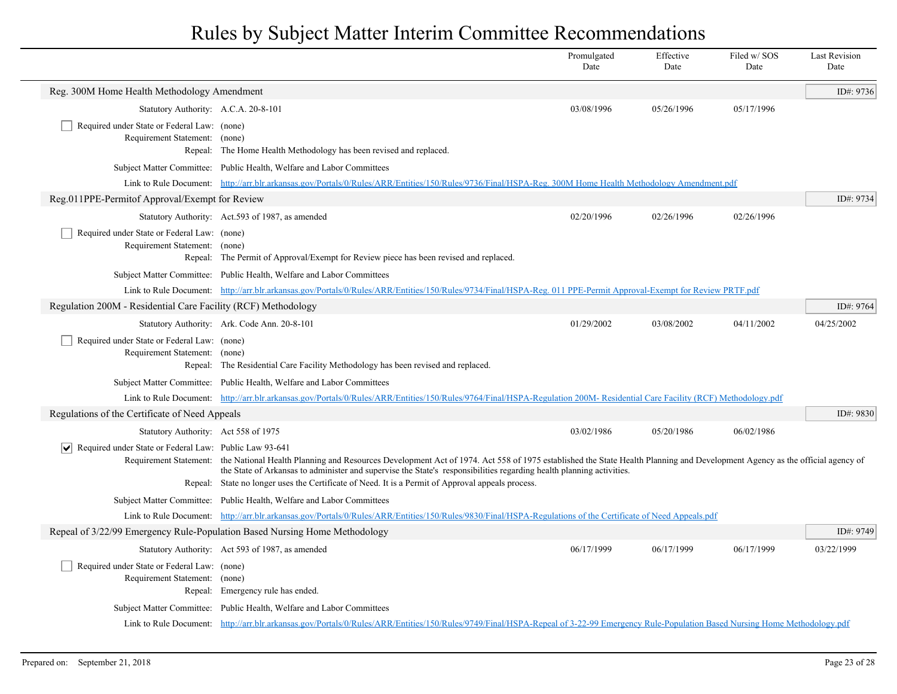|                                                                              |                                                                                                                                                                                                                                                                                                                           | Promulgated<br>Date | Effective<br>Date | Filed w/SOS<br>Date | <b>Last Revision</b><br>Date |
|------------------------------------------------------------------------------|---------------------------------------------------------------------------------------------------------------------------------------------------------------------------------------------------------------------------------------------------------------------------------------------------------------------------|---------------------|-------------------|---------------------|------------------------------|
| Reg. 300M Home Health Methodology Amendment                                  |                                                                                                                                                                                                                                                                                                                           |                     |                   |                     | ID#: 9736                    |
| Statutory Authority: A.C.A. 20-8-101                                         |                                                                                                                                                                                                                                                                                                                           | 03/08/1996          | 05/26/1996        | 05/17/1996          |                              |
| Required under State or Federal Law: (none)<br>Requirement Statement: (none) | Repeal: The Home Health Methodology has been revised and replaced.                                                                                                                                                                                                                                                        |                     |                   |                     |                              |
|                                                                              | Subject Matter Committee: Public Health, Welfare and Labor Committees                                                                                                                                                                                                                                                     |                     |                   |                     |                              |
|                                                                              | Link to Rule Document: http://arr.blr.arkansas.gov/Portals/0/Rules/ARR/Entities/150/Rules/9736/Final/HSPA-Reg. 300M Home Health Methodology Amendment.pdf                                                                                                                                                                 |                     |                   |                     |                              |
| Reg.011PPE-Permitof Approval/Exempt for Review                               |                                                                                                                                                                                                                                                                                                                           |                     |                   |                     | ID#: 9734                    |
|                                                                              | Statutory Authority: Act.593 of 1987, as amended                                                                                                                                                                                                                                                                          | 02/20/1996          | 02/26/1996        | 02/26/1996          |                              |
| Required under State or Federal Law: (none)<br>Requirement Statement: (none) | Repeal: The Permit of Approval/Exempt for Review piece has been revised and replaced.                                                                                                                                                                                                                                     |                     |                   |                     |                              |
|                                                                              | Subject Matter Committee: Public Health, Welfare and Labor Committees                                                                                                                                                                                                                                                     |                     |                   |                     |                              |
|                                                                              | Link to Rule Document: http://arr.blr.arkansas.gov/Portals/0/Rules/ARR/Entities/150/Rules/9734/Final/HSPA-Reg. 011 PPE-Permit Approval-Exempt for Review PRTF.pdf                                                                                                                                                         |                     |                   |                     |                              |
| Regulation 200M - Residential Care Facility (RCF) Methodology                |                                                                                                                                                                                                                                                                                                                           |                     |                   |                     | ID#: 9764                    |
|                                                                              | Statutory Authority: Ark. Code Ann. 20-8-101                                                                                                                                                                                                                                                                              | 01/29/2002          | 03/08/2002        | 04/11/2002          | 04/25/2002                   |
| Required under State or Federal Law: (none)<br>Requirement Statement: (none) | Repeal: The Residential Care Facility Methodology has been revised and replaced.                                                                                                                                                                                                                                          |                     |                   |                     |                              |
|                                                                              | Subject Matter Committee: Public Health, Welfare and Labor Committees                                                                                                                                                                                                                                                     |                     |                   |                     |                              |
|                                                                              | Link to Rule Document: http://arr.blr.arkansas.gov/Portals/0/Rules/ARR/Entities/150/Rules/9764/Final/HSPA-Regulation 200M- Residential Care Facility (RCF) Methodology.pdf                                                                                                                                                |                     |                   |                     |                              |
| Regulations of the Certificate of Need Appeals                               |                                                                                                                                                                                                                                                                                                                           |                     |                   |                     | ID#: 9830                    |
| Statutory Authority: Act 558 of 1975                                         |                                                                                                                                                                                                                                                                                                                           | 03/02/1986          | 05/20/1986        | 06/02/1986          |                              |
| $ \mathbf{v} $ Required under State or Federal Law: Public Law 93-641        | Requirement Statement: the National Health Planning and Resources Development Act of 1974. Act 558 of 1975 established the State Health Planning and Development Agency as the official agency of<br>the State of Arkansas to administer and supervise the State's responsibilities regarding health planning activities. |                     |                   |                     |                              |
|                                                                              | Repeal: State no longer uses the Certificate of Need. It is a Permit of Approval appeals process.                                                                                                                                                                                                                         |                     |                   |                     |                              |
|                                                                              | Subject Matter Committee: Public Health, Welfare and Labor Committees                                                                                                                                                                                                                                                     |                     |                   |                     |                              |
|                                                                              | Link to Rule Document: http://arr.blr.arkansas.gov/Portals/0/Rules/ARR/Entities/150/Rules/9830/Final/HSPA-Regulations of the Certificate of Need Appeals.pdf                                                                                                                                                              |                     |                   |                     |                              |
|                                                                              | Repeal of 3/22/99 Emergency Rule-Population Based Nursing Home Methodology                                                                                                                                                                                                                                                |                     |                   |                     | ID#: 9749                    |
| Required under State or Federal Law: (none)<br>Requirement Statement: (none) | Statutory Authority: Act 593 of 1987, as amended<br>Repeal: Emergency rule has ended.                                                                                                                                                                                                                                     | 06/17/1999          | 06/17/1999        | 06/17/1999          | 03/22/1999                   |
|                                                                              | Subject Matter Committee: Public Health, Welfare and Labor Committees                                                                                                                                                                                                                                                     |                     |                   |                     |                              |
|                                                                              | Link to Rule Document: http://arr.blr.arkansas.gov/Portals/0/Rules/ARR/Entities/150/Rules/9749/Final/HSPA-Repeal of 3-22-99 Emergency Rule-Population Based Nursing Home Methodology.pdf                                                                                                                                  |                     |                   |                     |                              |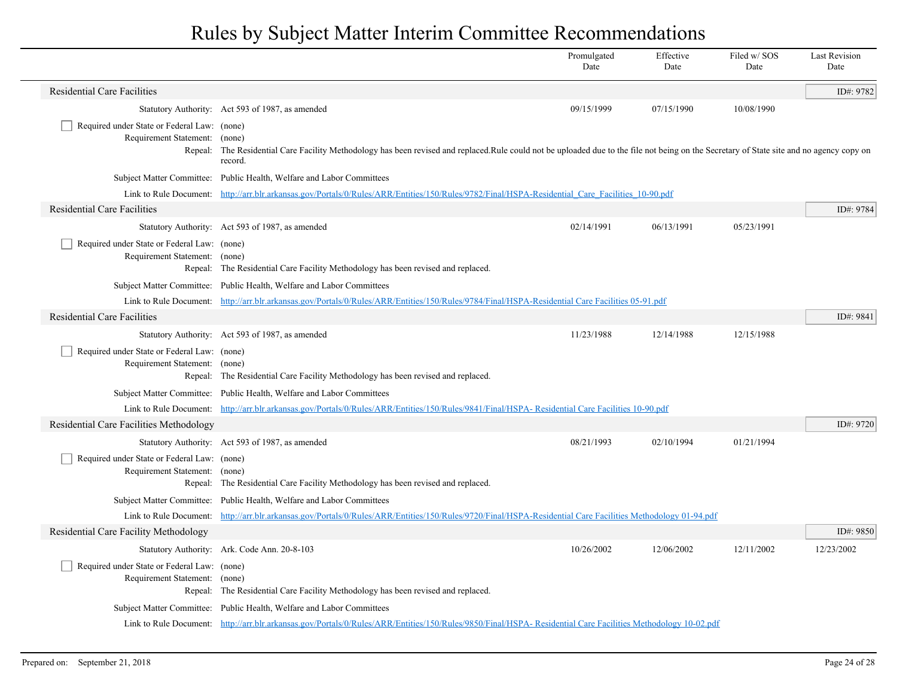|                                                                              |                                                                                                                                                                                                                | Promulgated<br>Date | Effective<br>Date | Filed w/SOS<br>Date | <b>Last Revision</b><br>Date |
|------------------------------------------------------------------------------|----------------------------------------------------------------------------------------------------------------------------------------------------------------------------------------------------------------|---------------------|-------------------|---------------------|------------------------------|
| <b>Residential Care Facilities</b>                                           |                                                                                                                                                                                                                |                     |                   |                     | ID#: 9782                    |
|                                                                              | Statutory Authority: Act 593 of 1987, as amended                                                                                                                                                               | 09/15/1999          | 07/15/1990        | 10/08/1990          |                              |
| Required under State or Federal Law: (none)<br>Requirement Statement:        | (none)<br>Repeal: The Residential Care Facility Methodology has been revised and replaced.Rule could not be uploaded due to the file not being on the Secretary of State site and no agency copy on<br>record. |                     |                   |                     |                              |
|                                                                              | Subject Matter Committee: Public Health, Welfare and Labor Committees                                                                                                                                          |                     |                   |                     |                              |
|                                                                              | Link to Rule Document: http://arr.blr.arkansas.gov/Portals/0/Rules/ARR/Entities/150/Rules/9782/Final/HSPA-Residential Care Facilities 10-90.pdf                                                                |                     |                   |                     |                              |
| <b>Residential Care Facilities</b>                                           |                                                                                                                                                                                                                |                     |                   |                     | ID#: 9784                    |
|                                                                              | Statutory Authority: Act 593 of 1987, as amended                                                                                                                                                               | 02/14/1991          | 06/13/1991        | 05/23/1991          |                              |
| Required under State or Federal Law: (none)<br>Requirement Statement: (none) | Repeal: The Residential Care Facility Methodology has been revised and replaced.                                                                                                                               |                     |                   |                     |                              |
|                                                                              | Subject Matter Committee: Public Health, Welfare and Labor Committees                                                                                                                                          |                     |                   |                     |                              |
|                                                                              | Link to Rule Document: http://arr.blr.arkansas.gov/Portals/0/Rules/ARR/Entities/150/Rules/9784/Final/HSPA-Residential Care Facilities 05-91.pdf                                                                |                     |                   |                     |                              |
| <b>Residential Care Facilities</b>                                           |                                                                                                                                                                                                                |                     |                   |                     | ID#: 9841                    |
|                                                                              | Statutory Authority: Act 593 of 1987, as amended                                                                                                                                                               | 11/23/1988          | 12/14/1988        | 12/15/1988          |                              |
| Required under State or Federal Law: (none)<br>Requirement Statement: (none) | Repeal: The Residential Care Facility Methodology has been revised and replaced.                                                                                                                               |                     |                   |                     |                              |
|                                                                              | Subject Matter Committee: Public Health, Welfare and Labor Committees                                                                                                                                          |                     |                   |                     |                              |
|                                                                              | Link to Rule Document: http://arr.blr.arkansas.gov/Portals/0/Rules/ARR/Entities/150/Rules/9841/Final/HSPA-Residential Care Facilities 10-90.pdf                                                                |                     |                   |                     |                              |
| Residential Care Facilities Methodology                                      |                                                                                                                                                                                                                |                     |                   |                     | ID#: 9720                    |
|                                                                              | Statutory Authority: Act 593 of 1987, as amended                                                                                                                                                               | 08/21/1993          | 02/10/1994        | 01/21/1994          |                              |
| Required under State or Federal Law: (none)<br>Requirement Statement: (none) | Repeal: The Residential Care Facility Methodology has been revised and replaced.                                                                                                                               |                     |                   |                     |                              |
|                                                                              | Subject Matter Committee: Public Health, Welfare and Labor Committees                                                                                                                                          |                     |                   |                     |                              |
|                                                                              | Link to Rule Document: http://arr.blr.arkansas.gov/Portals/0/Rules/ARR/Entities/150/Rules/9720/Final/HSPA-Residential Care Facilities Methodology 01-94.pdf                                                    |                     |                   |                     |                              |
| Residential Care Facility Methodology                                        |                                                                                                                                                                                                                |                     |                   |                     | ID#: $9850$                  |
|                                                                              | Statutory Authority: Ark. Code Ann. 20-8-103                                                                                                                                                                   | 10/26/2002          | 12/06/2002        | 12/11/2002          | 12/23/2002                   |
| Required under State or Federal Law: (none)<br>Requirement Statement: (none) | Repeal: The Residential Care Facility Methodology has been revised and replaced.                                                                                                                               |                     |                   |                     |                              |
|                                                                              | Subject Matter Committee: Public Health, Welfare and Labor Committees                                                                                                                                          |                     |                   |                     |                              |
|                                                                              | Link to Rule Document: http://arr.blr.arkansas.gov/Portals/0/Rules/ARR/Entities/150/Rules/9850/Final/HSPA-Residential Care Facilities Methodology 10-02.pdf                                                    |                     |                   |                     |                              |

 $\overline{\phantom{a}}$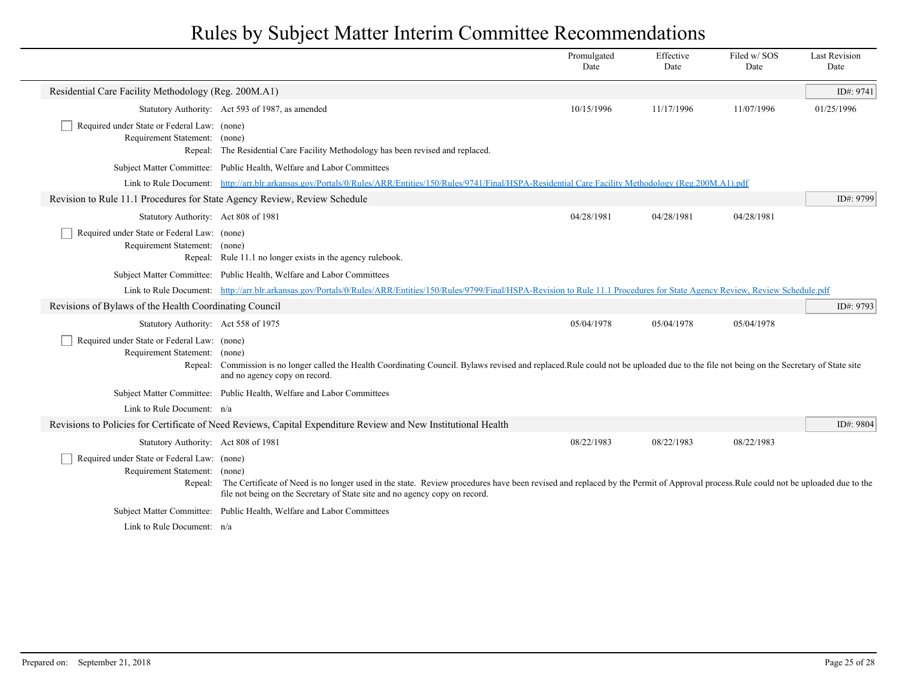|                                                                                                                                                                   |                                                                                                                                                                                                                                                                                                                                                                | Promulgated<br>Date | Effective<br>Date | Filed w/SOS<br>Date | <b>Last Revision</b><br>Date |
|-------------------------------------------------------------------------------------------------------------------------------------------------------------------|----------------------------------------------------------------------------------------------------------------------------------------------------------------------------------------------------------------------------------------------------------------------------------------------------------------------------------------------------------------|---------------------|-------------------|---------------------|------------------------------|
| Residential Care Facility Methodology (Reg. 200M.A1)                                                                                                              |                                                                                                                                                                                                                                                                                                                                                                |                     |                   |                     | ID#: 9741                    |
|                                                                                                                                                                   | Statutory Authority: Act 593 of 1987, as amended                                                                                                                                                                                                                                                                                                               | 10/15/1996          | 11/17/1996        | 11/07/1996          | 01/25/1996                   |
| Required under State or Federal Law: (none)<br>Requirement Statement: (none)                                                                                      | Repeal: The Residential Care Facility Methodology has been revised and replaced.                                                                                                                                                                                                                                                                               |                     |                   |                     |                              |
|                                                                                                                                                                   | Subject Matter Committee: Public Health, Welfare and Labor Committees                                                                                                                                                                                                                                                                                          |                     |                   |                     |                              |
| Link to Rule Document: http://arr.blr.arkansas.gov/Portals/0/Rules/ARR/Entities/150/Rules/9741/Final/HSPA-Residential Care Facility Methodology (Reg.200M.A1).pdf |                                                                                                                                                                                                                                                                                                                                                                |                     |                   |                     |                              |
| Revision to Rule 11.1 Procedures for State Agency Review, Review Schedule                                                                                         |                                                                                                                                                                                                                                                                                                                                                                |                     |                   |                     | ID#: 9799                    |
| Statutory Authority: Act 808 of 1981                                                                                                                              |                                                                                                                                                                                                                                                                                                                                                                | 04/28/1981          | 04/28/1981        | 04/28/1981          |                              |
| Required under State or Federal Law: (none)<br>Requirement Statement: (none)                                                                                      | Repeal: Rule 11.1 no longer exists in the agency rulebook.                                                                                                                                                                                                                                                                                                     |                     |                   |                     |                              |
|                                                                                                                                                                   | Subject Matter Committee: Public Health, Welfare and Labor Committees                                                                                                                                                                                                                                                                                          |                     |                   |                     |                              |
|                                                                                                                                                                   | Link to Rule Document: http://arr.blr.arkansas.gov/Portals/0/Rules/ARR/Entities/150/Rules/9799/Final/HSPA-Revision to Rule 11.1 Procedures for State Agency Review, Review Schedule.pdf                                                                                                                                                                        |                     |                   |                     |                              |
| Revisions of Bylaws of the Health Coordinating Council                                                                                                            |                                                                                                                                                                                                                                                                                                                                                                |                     |                   |                     | ID#: 9793                    |
| Statutory Authority: Act 558 of 1975                                                                                                                              |                                                                                                                                                                                                                                                                                                                                                                | 05/04/1978          | 05/04/1978        | 05/04/1978          |                              |
| Required under State or Federal Law: (none)<br>Requirement Statement:                                                                                             | (none)<br>Repeal: Commission is no longer called the Health Coordinating Council. Bylaws revised and replaced.Rule could not be uploaded due to the file not being on the Secretary of State site<br>and no agency copy on record.                                                                                                                             |                     |                   |                     |                              |
|                                                                                                                                                                   | Subject Matter Committee: Public Health, Welfare and Labor Committees                                                                                                                                                                                                                                                                                          |                     |                   |                     |                              |
| Link to Rule Document: $n/a$                                                                                                                                      |                                                                                                                                                                                                                                                                                                                                                                |                     |                   |                     |                              |
|                                                                                                                                                                   | Revisions to Policies for Certificate of Need Reviews, Capital Expenditure Review and New Institutional Health                                                                                                                                                                                                                                                 |                     |                   |                     | ID#: 9804                    |
| Statutory Authority: Act 808 of 1981                                                                                                                              |                                                                                                                                                                                                                                                                                                                                                                | 08/22/1983          | 08/22/1983        | 08/22/1983          |                              |
|                                                                                                                                                                   | Required under State or Federal Law: (none)<br>Requirement Statement:<br>(none)<br>The Certificate of Need is no longer used in the state. Review procedures have been revised and replaced by the Permit of Approval process. Rule could not be uploaded due to the<br>Repeal:<br>file not being on the Secretary of State site and no agency copy on record. |                     |                   |                     |                              |
|                                                                                                                                                                   | Subject Matter Committee: Public Health, Welfare and Labor Committees                                                                                                                                                                                                                                                                                          |                     |                   |                     |                              |
| Link to Rule Document: $n/a$                                                                                                                                      |                                                                                                                                                                                                                                                                                                                                                                |                     |                   |                     |                              |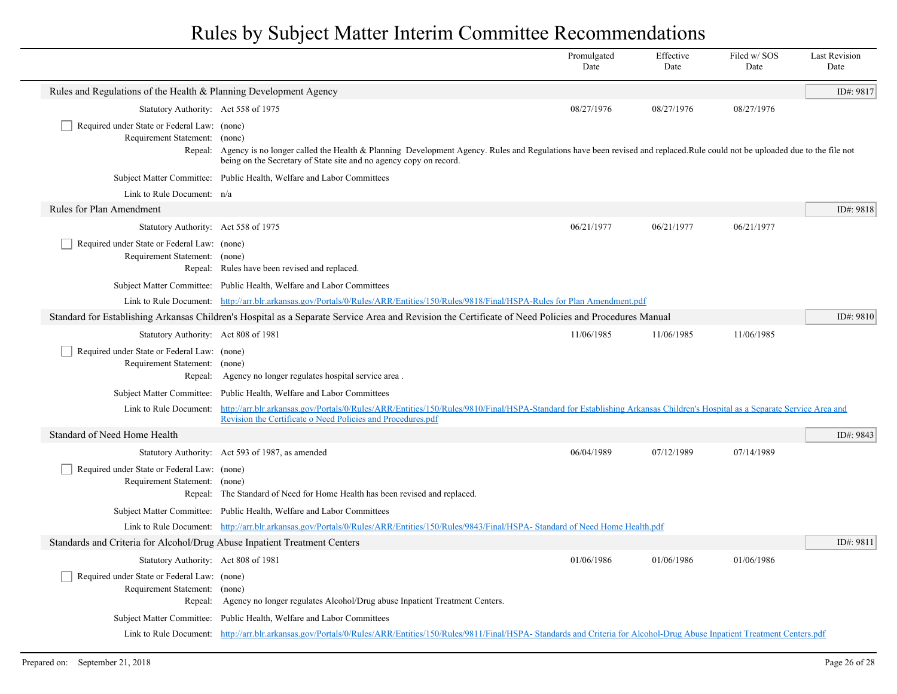|                                                                                         |                                                                                                                                                                                                                                                                | Promulgated<br>Date | Effective<br>Date | Filed w/ SOS<br>Date | <b>Last Revision</b><br>Date |
|-----------------------------------------------------------------------------------------|----------------------------------------------------------------------------------------------------------------------------------------------------------------------------------------------------------------------------------------------------------------|---------------------|-------------------|----------------------|------------------------------|
| Rules and Regulations of the Health & Planning Development Agency                       |                                                                                                                                                                                                                                                                |                     |                   |                      | ID#: 9817                    |
| Statutory Authority: Act 558 of 1975                                                    |                                                                                                                                                                                                                                                                | 08/27/1976          | 08/27/1976        | 08/27/1976           |                              |
| Required under State or Federal Law: (none)<br>Requirement Statement:<br>Repeal:        | (none)<br>Agency is no longer called the Health & Planning Development Agency. Rules and Regulations have been revised and replaced. Rule could not be uploaded due to the file not<br>being on the Secretary of State site and no agency copy on record.      |                     |                   |                      |                              |
|                                                                                         | Subject Matter Committee: Public Health, Welfare and Labor Committees                                                                                                                                                                                          |                     |                   |                      |                              |
| Link to Rule Document: n/a                                                              |                                                                                                                                                                                                                                                                |                     |                   |                      |                              |
| Rules for Plan Amendment                                                                |                                                                                                                                                                                                                                                                |                     |                   |                      | ID#: 9818                    |
| Statutory Authority: Act 558 of 1975                                                    |                                                                                                                                                                                                                                                                | 06/21/1977          | 06/21/1977        | 06/21/1977           |                              |
| Required under State or Federal Law: (none)<br>Requirement Statement: (none)            | Repeal: Rules have been revised and replaced.                                                                                                                                                                                                                  |                     |                   |                      |                              |
|                                                                                         | Subject Matter Committee: Public Health, Welfare and Labor Committees                                                                                                                                                                                          |                     |                   |                      |                              |
|                                                                                         | Link to Rule Document: http://arr.blr.arkansas.gov/Portals/0/Rules/ARR/Entities/150/Rules/9818/Final/HSPA-Rules for Plan Amendment.pdf                                                                                                                         |                     |                   |                      |                              |
|                                                                                         | Standard for Establishing Arkansas Children's Hospital as a Separate Service Area and Revision the Certificate of Need Policies and Procedures Manual                                                                                                          |                     |                   |                      | ID#: 9810                    |
| Statutory Authority: Act 808 of 1981                                                    |                                                                                                                                                                                                                                                                | 11/06/1985          | 11/06/1985        | 11/06/1985           |                              |
| Required under State or Federal Law: (none)<br>Requirement Statement: (none)            | Repeal: Agency no longer regulates hospital service area.                                                                                                                                                                                                      |                     |                   |                      |                              |
|                                                                                         | Subject Matter Committee: Public Health, Welfare and Labor Committees                                                                                                                                                                                          |                     |                   |                      |                              |
|                                                                                         | Link to Rule Document: http://arr.blr.arkansas.gov/Portals/0/Rules/ARR/Entities/150/Rules/9810/Final/HSPA-Standard for Establishing Arkansas Children's Hospital as a Separate Service Area and<br>Revision the Certificate o Need Policies and Procedures.pdf |                     |                   |                      |                              |
| Standard of Need Home Health                                                            |                                                                                                                                                                                                                                                                |                     |                   |                      | ID#: 9843                    |
|                                                                                         | Statutory Authority: Act 593 of 1987, as amended                                                                                                                                                                                                               | 06/04/1989          | 07/12/1989        | 07/14/1989           |                              |
| Required under State or Federal Law: (none)<br>Requirement Statement: (none)            | Repeal: The Standard of Need for Home Health has been revised and replaced.                                                                                                                                                                                    |                     |                   |                      |                              |
|                                                                                         | Subject Matter Committee: Public Health, Welfare and Labor Committees                                                                                                                                                                                          |                     |                   |                      |                              |
|                                                                                         | Link to Rule Document: http://arr.blr.arkansas.gov/Portals/0/Rules/ARR/Entities/150/Rules/9843/Final/HSPA- Standard of Need Home Health.pdf                                                                                                                    |                     |                   |                      |                              |
| Standards and Criteria for Alcohol/Drug Abuse Inpatient Treatment Centers               |                                                                                                                                                                                                                                                                |                     |                   |                      | ID#: 9811                    |
| Statutory Authority: Act 808 of 1981                                                    |                                                                                                                                                                                                                                                                | 01/06/1986          | 01/06/1986        | 01/06/1986           |                              |
| Required under State or Federal Law: (none)<br>Requirement Statement: (none)<br>Repeal: | Agency no longer regulates Alcohol/Drug abuse Inpatient Treatment Centers.                                                                                                                                                                                     |                     |                   |                      |                              |
|                                                                                         | Subject Matter Committee: Public Health, Welfare and Labor Committees                                                                                                                                                                                          |                     |                   |                      |                              |
|                                                                                         | Link to Rule Document: http://arr.blr.arkansas.gov/Portals/0/Rules/ARR/Entities/150/Rules/9811/Final/HSPA-Standards and Criteria for Alcohol-Drug Abuse Inpatient Treatment Centers.pdf                                                                        |                     |                   |                      |                              |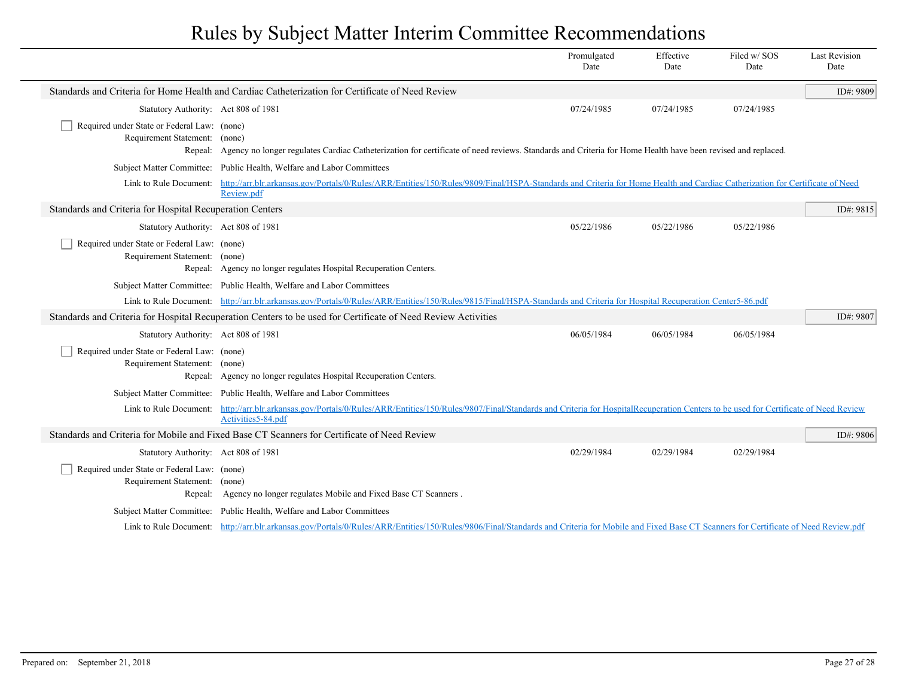|                                                                              |                                                                                                                                                                                                       | Promulgated<br>Date | Effective<br>Date | Filed w/SOS<br>Date | <b>Last Revision</b><br>Date |
|------------------------------------------------------------------------------|-------------------------------------------------------------------------------------------------------------------------------------------------------------------------------------------------------|---------------------|-------------------|---------------------|------------------------------|
|                                                                              | Standards and Criteria for Home Health and Cardiac Catheterization for Certificate of Need Review                                                                                                     |                     |                   |                     | ID#: 9809                    |
| Statutory Authority: Act 808 of 1981                                         |                                                                                                                                                                                                       | 07/24/1985          | 07/24/1985        | 07/24/1985          |                              |
| Required under State or Federal Law: (none)<br>Requirement Statement: (none) | Repeal: Agency no longer regulates Cardiac Catheterization for certificate of need reviews. Standards and Criteria for Home Health have been revised and replaced.                                    |                     |                   |                     |                              |
|                                                                              | Subject Matter Committee: Public Health, Welfare and Labor Committees                                                                                                                                 |                     |                   |                     |                              |
| Link to Rule Document:                                                       | http://arr.blr.arkansas.gov/Portals/0/Rules/ARR/Entities/150/Rules/9809/Final/HSPA-Standards and Criteria for Home Health and Cardiac Catherization for Certificate of Need<br>Review.pdf             |                     |                   |                     |                              |
| Standards and Criteria for Hospital Recuperation Centers                     |                                                                                                                                                                                                       |                     |                   |                     | ID#: 9815                    |
| Statutory Authority: Act 808 of 1981                                         |                                                                                                                                                                                                       | 05/22/1986          | 05/22/1986        | 05/22/1986          |                              |
| Required under State or Federal Law: (none)<br>Requirement Statement: (none) | Repeal: Agency no longer regulates Hospital Recuperation Centers.                                                                                                                                     |                     |                   |                     |                              |
|                                                                              | Subject Matter Committee: Public Health, Welfare and Labor Committees                                                                                                                                 |                     |                   |                     |                              |
|                                                                              | Link to Rule Document: http://arr.blr.arkansas.gov/Portals/0/Rules/ARR/Entities/150/Rules/9815/Final/HSPA-Standards and Criteria for Hospital Recuperation Center5-86.pdf                             |                     |                   |                     |                              |
|                                                                              | Standards and Criteria for Hospital Recuperation Centers to be used for Certificate of Need Review Activities                                                                                         |                     |                   |                     | ID#: 9807                    |
| Statutory Authority: Act 808 of 1981                                         |                                                                                                                                                                                                       | 06/05/1984          | 06/05/1984        | 06/05/1984          |                              |
| Required under State or Federal Law: (none)<br>Requirement Statement: (none) | Repeal: Agency no longer regulates Hospital Recuperation Centers.                                                                                                                                     |                     |                   |                     |                              |
|                                                                              | Subject Matter Committee: Public Health, Welfare and Labor Committees                                                                                                                                 |                     |                   |                     |                              |
| Link to Rule Document:                                                       | http://arr.blr.arkansas.gov/Portals/0/Rules/ARR/Entities/150/Rules/9807/Final/Standards and Criteria for HospitalRecuperation Centers to be used for Certificate of Need Review<br>Activities5-84.pdf |                     |                   |                     |                              |
|                                                                              | Standards and Criteria for Mobile and Fixed Base CT Scanners for Certificate of Need Review                                                                                                           |                     |                   |                     | ID#: 9806                    |
| Statutory Authority: Act 808 of 1981                                         |                                                                                                                                                                                                       | 02/29/1984          | 02/29/1984        | 02/29/1984          |                              |
| Required under State or Federal Law: (none)<br>Requirement Statement: (none) | Repeal: Agency no longer regulates Mobile and Fixed Base CT Scanners.                                                                                                                                 |                     |                   |                     |                              |
|                                                                              | Subject Matter Committee: Public Health, Welfare and Labor Committees                                                                                                                                 |                     |                   |                     |                              |
|                                                                              | Link to Rule Document: http://arr.blr.arkansas.gov/Portals/0/Rules/ARR/Entities/150/Rules/9806/Final/Standards and Criteria for Mobile and Fixed Base CT Scanners for Certificate of Need Review.pdf  |                     |                   |                     |                              |